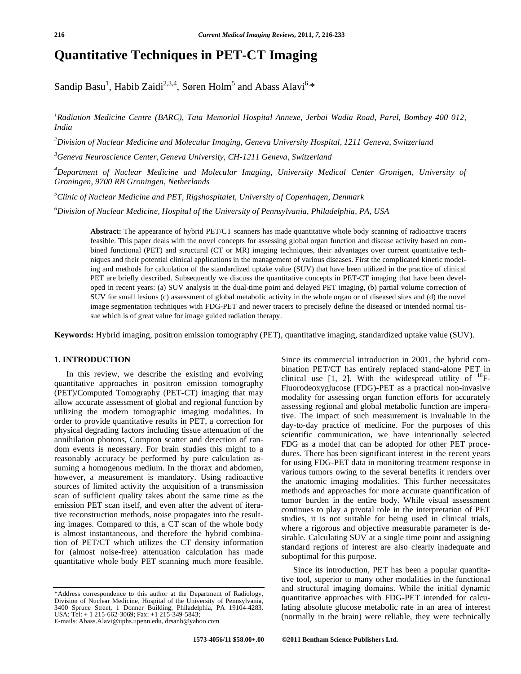# **Quantitative Techniques in PET-CT Imaging**

Sandip Basu<sup>1</sup>, Habib Zaidi<sup>2,3,4</sup>, Søren Holm<sup>5</sup> and Abass Alavi<sup>6,\*</sup>

<sup>1</sup> Radiation Medicine Centre (BARC), Tata Memorial Hospital Annexe, Jerbai Wadia Road, Parel, Bombay 400 012, *India* 

*2 Division of Nuclear Medicine and Molecular Imaging, Geneva University Hospital, 1211 Geneva, Switzerland* 

*3 Geneva Neuroscience Center, Geneva University, CH-1211 Geneva, Switzerland* 

*4 Department of Nuclear Medicine and Molecular Imaging, University Medical Center Gronigen, University of Groningen, 9700 RB Groningen, Netherlands* 

*5 Clinic of Nuclear Medicine and PET, Rigshospitalet, University of Copenhagen, Denmark* 

*6 Division of Nuclear Medicine, Hospital of the University of Pennsylvania, Philadelphia, PA, USA* 

**Abstract:** The appearance of hybrid PET/CT scanners has made quantitative whole body scanning of radioactive tracers feasible. This paper deals with the novel concepts for assessing global organ function and disease activity based on combined functional (PET) and structural (CT or MR) imaging techniques, their advantages over current quantitative techniques and their potential clinical applications in the management of various diseases. First the complicated kinetic modeling and methods for calculation of the standardized uptake value (SUV) that have been utilized in the practice of clinical PET are briefly described. Subsequently we discuss the quantitative concepts in PET-CT imaging that have been developed in recent years: (a) SUV analysis in the dual-time point and delayed PET imaging, (b) partial volume correction of SUV for small lesions (c) assessment of global metabolic activity in the whole organ or of diseased sites and (d) the novel image segmentation techniques with FDG-PET and newer tracers to precisely define the diseased or intended normal tissue which is of great value for image guided radiation therapy.

**Keywords:** Hybrid imaging, positron emission tomography (PET), quantitative imaging, standardized uptake value (SUV).

# **1. INTRODUCTION**

In this review, we describe the existing and evolving quantitative approaches in positron emission tomography (PET)/Computed Tomography (PET-CT) imaging that may allow accurate assessment of global and regional function by utilizing the modern tomographic imaging modalities. In order to provide quantitative results in PET, a correction for physical degrading factors including tissue attenuation of the annihilation photons, Compton scatter and detection of random events is necessary. For brain studies this might to a reasonably accuracy be performed by pure calculation assuming a homogenous medium. In the thorax and abdomen, however, a measurement is mandatory. Using radioactive sources of limited activity the acquisition of a transmission scan of sufficient quality takes about the same time as the emission PET scan itself, and even after the advent of iterative reconstruction methods, noise propagates into the resulting images. Compared to this, a CT scan of the whole body is almost instantaneous, and therefore the hybrid combination of PET/CT which utilizes the CT density information for (almost noise-free) attenuation calculation has made quantitative whole body PET scanning much more feasible.

modality for assessing organ function efforts for accurately assessing regional and global metabolic function are imperative. The impact of such measurement is invaluable in the day-to-day practice of medicine. For the purposes of this scientific communication, we have intentionally selected FDG as a model that can be adopted for other PET procedures. There has been significant interest in the recent years for using FDG-PET data in monitoring treatment response in various tumors owing to the several benefits it renders over the anatomic imaging modalities. This further necessitates methods and approaches for more accurate quantification of tumor burden in the entire body. While visual assessment continues to play a pivotal role in the interpretation of PET studies, it is not suitable for being used in clinical trials, where a rigorous and objective measurable parameter is desirable. Calculating SUV at a single time point and assigning standard regions of interest are also clearly inadequate and suboptimal for this purpose. Since its introduction, PET has been a popular quantita-

Since its commercial introduction in 2001, the hybrid combination PET/CT has entirely replaced stand-alone PET in clinical use  $[1, 2]$ . With the widespread utility of  $^{18}F-$ Fluorodeoxyglucose (FDG)-PET as a practical non-invasive

tive tool, superior to many other modalities in the functional and structural imaging domains. While the initial dynamic quantitative approaches with FDG-PET intended for calculating absolute glucose metabolic rate in an area of interest (normally in the brain) were reliable, they were technically

<sup>\*</sup>Address correspondence to this author at the Department of Radiology, Division of Nuclear Medicine, Hospital of the University of Pennsylvania, 3400 Spruce Street, 1 Donner Building, Philadelphia, PA 19104-4283, USA; Tel: + 1 215-662-3069; Fax: +1 215-349-5843; E-mails: Abass.Alavi@uphs.upenn.edu, drsanb@yahoo.com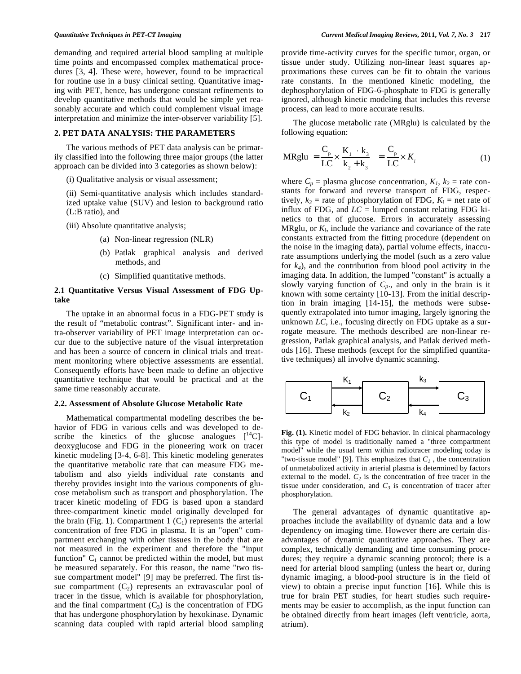demanding and required arterial blood sampling at multiple time points and encompassed complex mathematical procedures [3, 4]. These were, however, found to be impractical for routine use in a busy clinical setting. Quantitative imaging with PET, hence, has undergone constant refinements to develop quantitative methods that would be simple yet reasonably accurate and which could complement visual image interpretation and minimize the inter-observer variability [5].

# **2. PET DATA ANALYSIS: THE PARAMETERS**

The various methods of PET data analysis can be primarily classified into the following three major groups (the latter approach can be divided into 3 categories as shown below):

(i) Qualitative analysis or visual assessment;

(ii) Semi-quantitative analysis which includes standardized uptake value (SUV) and lesion to background ratio (L:B ratio), and

(iii) Absolute quantitative analysis;

- (a) Non-linear regression (NLR)
- (b) Patlak graphical analysis and derived methods, and
- (c) Simplified quantitative methods.

# **2.1 Quantitative Versus Visual Assessment of FDG Uptake**

The uptake in an abnormal focus in a FDG-PET study is the result of "metabolic contrast". Significant inter- and intra-observer variability of PET image interpretation can occur due to the subjective nature of the visual interpretation and has been a source of concern in clinical trials and treatment monitoring where objective assessments are essential. Consequently efforts have been made to define an objective quantitative technique that would be practical and at the same time reasonably accurate.

#### **2.2. Assessment of Absolute Glucose Metabolic Rate**

Mathematical compartmental modeling describes the behavior of FDG in various cells and was developed to describe the kinetics of the glucose analogues  $[$ <sup>14</sup>C]deoxyglucose and FDG in the pioneering work on tracer kinetic modeling [3-4, 6-8]. This kinetic modeling generates the quantitative metabolic rate that can measure FDG metabolism and also yields individual rate constants and thereby provides insight into the various components of glucose metabolism such as transport and phosphorylation. The tracer kinetic modeling of FDG is based upon a standard three-compartment kinetic model originally developed for the brain (Fig. 1). Compartment  $1(C_1)$  represents the arterial concentration of free FDG in plasma. It is an "open" compartment exchanging with other tissues in the body that are not measured in the experiment and therefore the "input function"  $C_1$  cannot be predicted within the model, but must be measured separately. For this reason, the name "two tissue compartment model" [9] may be preferred. The first tissue compartment  $(C_2)$  represents an extravascular pool of tracer in the tissue, which is available for phosphorylation, and the final compartment  $(C_3)$  is the concentration of FDG that has undergone phosphorylation by hexokinase. Dynamic scanning data coupled with rapid arterial blood sampling provide time-activity curves for the specific tumor, organ, or tissue under study. Utilizing non-linear least squares approximations these curves can be fit to obtain the various rate constants. In the mentioned kinetic modeling, the dephosphorylation of FDG-6-phosphate to FDG is generally ignored, although kinetic modeling that includes this reverse process, can lead to more accurate results.

The glucose metabolic rate (MRglu) is calculated by the following equation:

$$
MRglu = \frac{C_p}{LC} \times \frac{K_1 \cdot k_3}{k_2 + k_3} = \frac{C_p}{LC} \times K_i
$$
 (1)

where  $C_p$  = plasma glucose concentration,  $K_l$ ,  $k_2$  = rate constants for forward and reverse transport of FDG, respectively,  $k_3$  = rate of phosphorylation of FDG,  $K_i$  = net rate of influx of FDG, and  $LC =$  lumped constant relating FDG kinetics to that of glucose. Errors in accurately assessing MRglu, or  $K_i$ , include the variance and covariance of the rate constants extracted from the fitting procedure (dependent on the noise in the imaging data), partial volume effects, inaccurate assumptions underlying the model (such as a zero value for  $k_4$ ), and the contribution from blood pool activity in the imaging data. In addition, the lumped "constant" is actually a slowly varying function of  $C_p$ , and only in the brain is it known with some certainty  $[10-13]$ . From the initial description in brain imaging [14-15], the methods were subsequently extrapolated into tumor imaging, largely ignoring the unknown *LC*, i.e., focusing directly on FDG uptake as a surrogate measure. The methods described are non-linear regression, Patlak graphical analysis, and Patlak derived methods [16]. These methods (except for the simplified quantitative techniques) all involve dynamic scanning.



**Fig. (1).** Kinetic model of FDG behavior. In clinical pharmacology this type of model is traditionally named a "three compartment model" while the usual term within radiotracer modeling today is "two-tissue model" [9]. This emphasizes that  $C<sub>1</sub>$ , the concentration of unmetabolized activity in arterial plasma is determined by factors external to the model.  $C_2$  is the concentration of free tracer in the tissue under consideration, and  $C_3$  is concentration of tracer after phosphorylation.

The general advantages of dynamic quantitative approaches include the availability of dynamic data and a low dependency on imaging time. However there are certain disadvantages of dynamic quantitative approaches. They are complex, technically demanding and time consuming procedures; they require a dynamic scanning protocol; there is a need for arterial blood sampling (unless the heart or, during dynamic imaging, a blood-pool structure is in the field of view) to obtain a precise input function [16]. While this is true for brain PET studies, for heart studies such requirements may be easier to accomplish, as the input function can be obtained directly from heart images (left ventricle, aorta, atrium).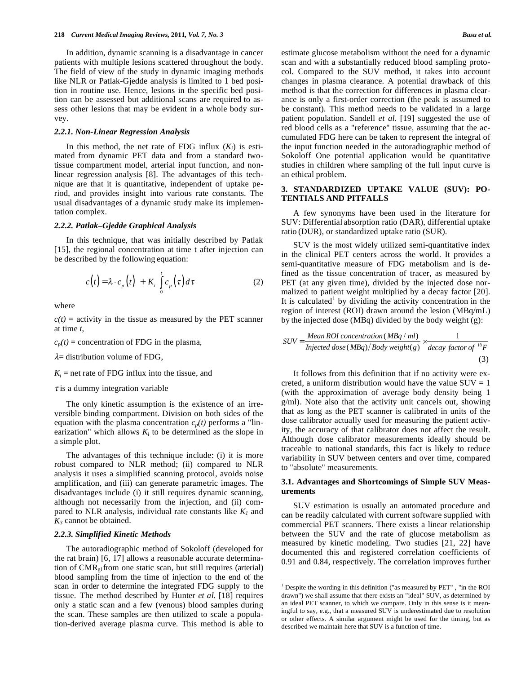In addition, dynamic scanning is a disadvantage in cancer patients with multiple lesions scattered throughout the body. The field of view of the study in dynamic imaging methods like NLR or Patlak-Gjedde analysis is limited to 1 bed position in routine use. Hence, lesions in the specific bed position can be assessed but additional scans are required to assess other lesions that may be evident in a whole body survey.

#### *2.2.1. Non-Linear Regression Analysis*

In this method, the net rate of FDG influx  $(K_i)$  is estimated from dynamic PET data and from a standard twotissue compartment model, arterial input function, and nonlinear regression analysis [8]. The advantages of this technique are that it is quantitative, independent of uptake period, and provides insight into various rate constants. The usual disadvantages of a dynamic study make its implementation complex.

#### *2.2.2. Patlak–Gjedde Graphical Analysis*

In this technique, that was initially described by Patlak [15], the regional concentration at time t after injection can be described by the following equation:

$$
c(t) = \lambda \cdot c_p(t) + K_i \int_0^t c_p(\tau) d\tau
$$
 (2)

where

 $c(t)$  = activity in the tissue as measured by the PET scanner at time *t*,

 $c_p(t)$  = concentration of FDG in the plasma,

 $\lambda$ = distribution volume of FDG,

 $K_i$  = net rate of FDG influx into the tissue, and

## $\tau$  is a dummy integration variable

The only kinetic assumption is the existence of an irreversible binding compartment. Division on both sides of the equation with the plasma concentration  $c_p(t)$  performs a "linearization" which allows  $K_i$  to be determined as the slope in a simple plot.

The advantages of this technique include: (i) it is more robust compared to NLR method; (ii) compared to NLR analysis it uses a simplified scanning protocol, avoids noise amplification, and (iii) can generate parametric images. The disadvantages include (i) it still requires dynamic scanning, although not necessarily from the injection, and (ii) compared to NLR analysis, individual rate constants like  $K_l$  and *K3* cannot be obtained.

#### *2.2.3. Simplified Kinetic Methods*

The autoradiographic method of Sokoloff (developed for the rat brain) [6, 17] allows a reasonable accurate determination of  $CMR_{gl}$  from one static scan, but still requires (arterial) blood sampling from the time of injection to the end of the scan in order to determine the integrated FDG supply to the tissue. The method described by Hunter *et al.* [18] requires only a static scan and a few (venous) blood samples during the scan. These samples are then utilized to scale a population-derived average plasma curve. This method is able to estimate glucose metabolism without the need for a dynamic scan and with a substantially reduced blood sampling protocol. Compared to the SUV method, it takes into account changes in plasma clearance. A potential drawback of this method is that the correction for differences in plasma clearance is only a first-order correction (the peak is assumed to be constant). This method needs to be validated in a large patient population. Sandell *et al.* [19] suggested the use of red blood cells as a "reference" tissue, assuming that the accumulated FDG here can be taken to represent the integral of the input function needed in the autoradiographic method of Sokoloff One potential application would be quantitative studies in children where sampling of the full input curve is

# **3. STANDARDIZED UPTAKE VALUE (SUV): PO-TENTIALS AND PITFALLS**

an ethical problem.

A few synonyms have been used in the literature for SUV: Differential absorption ratio (DAR), differential uptake ratio (DUR), or standardized uptake ratio (SUR).

SUV is the most widely utilized semi-quantitative index in the clinical PET centers across the world. It provides a semi-quantitative measure of FDG metabolism and is defined as the tissue concentration of tracer, as measured by PET (at any given time), divided by the injected dose normalized to patient weight multiplied by a decay factor [20]. It is calculated<sup>1</sup> by dividing the activity concentration in the region of interest (ROI) drawn around the lesion (MBq/mL) by the injected dose (MBq) divided by the body weight (g):

$$
SUV = \frac{Mean\,ROI\, concentration\,(MBq\,/\,ml)}{Injected\, dose\,(MBq)/Body\,weight(g)} \times \frac{1}{decay\,factor\,of^{18}F}
$$
\n(3)

It follows from this definition that if no activity were excreted, a uniform distribution would have the value  $SUV = 1$ (with the approximation of average body density being 1 g/ml). Note also that the activity unit cancels out, showing that as long as the PET scanner is calibrated in units of the dose calibrator actually used for measuring the patient activity, the accuracy of that calibrator does not affect the result. Although dose calibrator measurements ideally should be traceable to national standards, this fact is likely to reduce variability in SUV between centers and over time, compared to "absolute" measurements.

# **3.1. Advantages and Shortcomings of Simple SUV Measurements**

SUV estimation is usually an automated procedure and can be readily calculated with current software supplied with commercial PET scanners. There exists a linear relationship between the SUV and the rate of glucose metabolism as measured by kinetic modeling. Two studies [21, 22] have documented this and registered correlation coefficients of 0.91 and 0.84, respectively. The correlation improves further

<u>.</u>

<sup>&</sup>lt;sup>1</sup> Despite the wording in this definition ("as measured by PET", "in the ROI drawn") we shall assume that there exists an "ideal" SUV, as determined by an ideal PET scanner, to which we compare. Only in this sense is it meaningful to say, e.g., that a measured SUV is underestimated due to resolution or other effects. A similar argument might be used for the timing, but as described we maintain here that SUV is a function of time.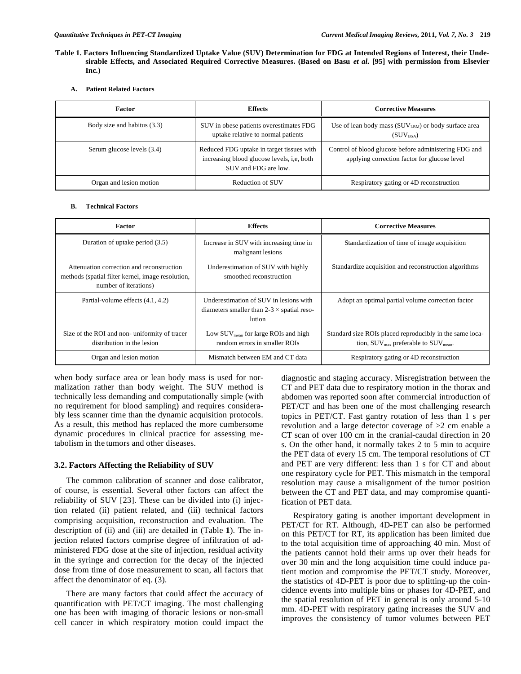**Table 1. Factors Influencing Standardized Uptake Value (SUV) Determination for FDG at Intended Regions of Interest, their Undesirable Effects, and Associated Required Corrective Measures. (Based on Basu** *et al.* **[95] with permission from Elsevier Inc.)** 

#### **A. Patient Related Factors**

| Factor                      | <b>Effects</b>                                                                                                  | <b>Corrective Measures</b>                                                                            |
|-----------------------------|-----------------------------------------------------------------------------------------------------------------|-------------------------------------------------------------------------------------------------------|
| Body size and habitus (3.3) | SUV in obese patients overestimates FDG<br>uptake relative to normal patients                                   | Use of lean body mass $(SUV_{LBM})$ or body surface area<br>$(SUV_{BSA})$                             |
| Serum glucose levels (3.4)  | Reduced FDG uptake in target tissues with<br>increasing blood glucose levels, i,e, both<br>SUV and FDG are low. | Control of blood glucose before administering FDG and<br>applying correction factor for glucose level |
| Organ and lesion motion     | Reduction of SUV                                                                                                | Respiratory gating or 4D reconstruction                                                               |

#### **B. Technical Factors**

| Factor                                                                                                                  | <b>Effects</b>                                                                                        | <b>Corrective Measures</b>                                                                                                             |
|-------------------------------------------------------------------------------------------------------------------------|-------------------------------------------------------------------------------------------------------|----------------------------------------------------------------------------------------------------------------------------------------|
| Duration of uptake period (3.5)                                                                                         | Increase in SUV with increasing time in<br>malignant lesions                                          | Standardization of time of image acquisition                                                                                           |
| Attenuation correction and reconstruction<br>methods (spatial filter kernel, image resolution,<br>number of iterations) | Underestimation of SUV with highly<br>smoothed reconstruction                                         | Standardize acquisition and reconstruction algorithms                                                                                  |
| Partial-volume effects (4.1, 4.2)                                                                                       | Underestimation of SUV in lesions with<br>diameters smaller than $2-3 \times$ spatial reso-<br>lution | Adopt an optimal partial volume correction factor                                                                                      |
| Size of the ROI and non-uniformity of tracer<br>distribution in the lesion                                              | Low $\text{SUV}_{\text{mean}}$ for large ROIs and high<br>random errors in smaller ROIs               | Standard size ROIs placed reproducibly in the same loca-<br>tion, $\text{SUV}_{\text{max}}$ preferable to $\text{SUV}_{\text{mean}}$ . |
| Organ and lesion motion                                                                                                 | Mismatch between EM and CT data                                                                       | Respiratory gating or 4D reconstruction                                                                                                |

when body surface area or lean body mass is used for normalization rather than body weight. The SUV method is technically less demanding and computationally simple (with no requirement for blood sampling) and requires considerably less scanner time than the dynamic acquisition protocols. As a result, this method has replaced the more cumbersome dynamic procedures in clinical practice for assessing metabolism in the tumors and other diseases.

# **3.2. Factors Affecting the Reliability of SUV**

The common calibration of scanner and dose calibrator, of course, is essential. Several other factors can affect the reliability of SUV [23]. These can be divided into (i) injection related (ii) patient related, and (iii) technical factors comprising acquisition, reconstruction and evaluation. The description of (ii) and (iii) are detailed in (Table **1**). The injection related factors comprise degree of infiltration of administered FDG dose at the site of injection, residual activity in the syringe and correction for the decay of the injected dose from time of dose measurement to scan, all factors that affect the denominator of eq. (3).

There are many factors that could affect the accuracy of quantification with PET/CT imaging. The most challenging one has been with imaging of thoracic lesions or non-small cell cancer in which respiratory motion could impact the diagnostic and staging accuracy. Misregistration between the CT and PET data due to respiratory motion in the thorax and abdomen was reported soon after commercial introduction of PET/CT and has been one of the most challenging research topics in PET/CT. Fast gantry rotation of less than 1 s per revolution and a large detector coverage of >2 cm enable a CT scan of over 100 cm in the cranial-caudal direction in 20 s. On the other hand, it normally takes 2 to 5 min to acquire the PET data of every 15 cm. The temporal resolutions of CT and PET are very different: less than 1 s for CT and about one respiratory cycle for PET. This mismatch in the temporal resolution may cause a misalignment of the tumor position between the CT and PET data, and may compromise quantification of PET data.

Respiratory gating is another important development in PET/CT for RT. Although, 4D-PET can also be performed on this PET/CT for RT, its application has been limited due to the total acquisition time of approaching 40 min. Most of the patients cannot hold their arms up over their heads for over 30 min and the long acquisition time could induce patient motion and compromise the PET/CT study. Moreover, the statistics of 4D-PET is poor due to splitting-up the coincidence events into multiple bins or phases for 4D-PET, and the spatial resolution of PET in general is only around 5-10 mm. 4D-PET with respiratory gating increases the SUV and improves the consistency of tumor volumes between PET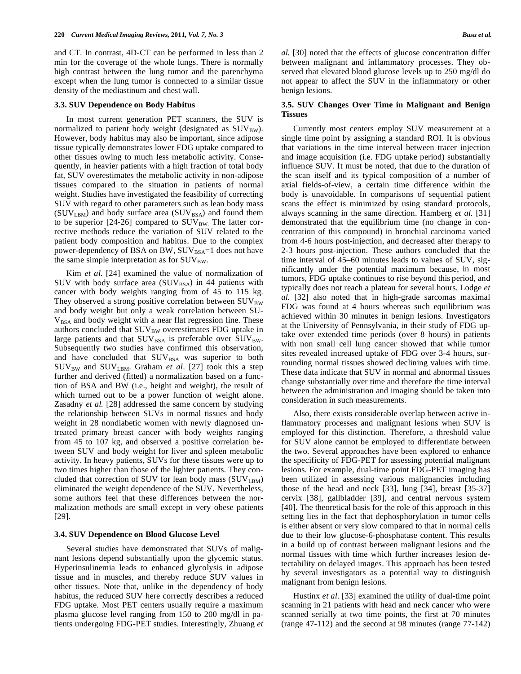and CT. In contrast, 4D-CT can be performed in less than 2 min for the coverage of the whole lungs. There is normally high contrast between the lung tumor and the parenchyma except when the lung tumor is connected to a similar tissue density of the mediastinum and chest wall.

#### **3.3. SUV Dependence on Body Habitus**

In most current generation PET scanners, the SUV is normalized to patient body weight (designated as  $\text{SUV}_{BW}$ ). However, body habitus may also be important, since adipose tissue typically demonstrates lower FDG uptake compared to other tissues owing to much less metabolic activity. Consequently, in heavier patients with a high fraction of total body fat, SUV overestimates the metabolic activity in non-adipose tissues compared to the situation in patients of normal weight. Studies have investigated the feasibility of correcting SUV with regard to other parameters such as lean body mass  $(SUV<sub>LBM</sub>)$  and body surface area  $(SUV<sub>BSA</sub>)$  and found them to be superior  $[24-26]$  compared to  $\text{SUV}_{BW}$ . The latter corrective methods reduce the variation of SUV related to the patient body composition and habitus. Due to the complex power-dependency of BSA on BW,  $\text{SUV}_{\text{BSA}}=1$  does not have the same simple interpretation as for  $\text{SUV}_{BW}$ .

Kim *et al.* [24] examined the value of normalization of SUV with body surface area  $(SUV_{BSA})$  in 44 patients with cancer with body weights ranging from of 45 to 115 kg. They observed a strong positive correlation between  $\text{SUV}_{BW}$ and body weight but only a weak correlation between SU- $V<sub>BSA</sub>$  and body weight with a near flat regression line. These authors concluded that  $\text{SUV}_{BW}$  overestimates FDG uptake in large patients and that  $\text{SUV}_{\text{BSA}}$  is preferable over  $\text{SUV}_{\text{BW}}$ . Subsequently two studies have confirmed this observation, and have concluded that SUV<sub>BSA</sub> was superior to both  $\text{SUV}_{BW}$  and  $\text{SUV}_{LBM}$ . Graham *et al.* [27] took this a step further and derived (fitted) a normalization based on a function of BSA and BW (i.e., height and weight), the result of which turned out to be a power function of weight alone. Zasadny *et al.* [28] addressed the same concern by studying the relationship between SUVs in normal tissues and body weight in 28 nondiabetic women with newly diagnosed untreated primary breast cancer with body weights ranging from 45 to 107 kg, and observed a positive correlation between SUV and body weight for liver and spleen metabolic activity. In heavy patients, SUVs for these tissues were up to two times higher than those of the lighter patients. They concluded that correction of SUV for lean body mass (SUV<sub>LBM</sub>) eliminated the weight dependence of the SUV. Nevertheless, some authors feel that these differences between the normalization methods are small except in very obese patients [29].

### **3.4. SUV Dependence on Blood Glucose Level**

Several studies have demonstrated that SUVs of malignant lesions depend substantially upon the glycemic status. Hyperinsulinemia leads to enhanced glycolysis in adipose tissue and in muscles, and thereby reduce SUV values in other tissues. Note that, unlike in the dependency of body habitus, the reduced SUV here correctly describes a reduced FDG uptake. Most PET centers usually require a maximum plasma glucose level ranging from 150 to 200 mg/dl in patients undergoing FDG-PET studies. Interestingly, Zhuang *et*  *al.* [30] noted that the effects of glucose concentration differ between malignant and inflammatory processes. They observed that elevated blood glucose levels up to 250 mg/dl do not appear to affect the SUV in the inflammatory or other benign lesions.

### **3.5. SUV Changes Over Time in Malignant and Benign Tissues**

Currently most centers employ SUV measurement at a single time point by assigning a standard ROI. It is obvious that variations in the time interval between tracer injection and image acquisition (i.e. FDG uptake period) substantially influence SUV. It must be noted, that due to the duration of the scan itself and its typical composition of a number of axial fields-of-view, a certain time difference within the body is unavoidable. In comparisons of sequential patient scans the effect is minimized by using standard protocols, always scanning in the same direction. Hamberg *et al.* [31] demonstrated that the equilibrium time (no change in concentration of this compound) in bronchial carcinoma varied from 4-6 hours post-injection, and decreased after therapy to 2-3 hours post-injection. These authors concluded that the time interval of 45–60 minutes leads to values of SUV, significantly under the potential maximum because, in most tumors, FDG uptake continues to rise beyond this period, and typically does not reach a plateau for several hours. Lodge *et al.* [32] also noted that in high-grade sarcomas maximal FDG was found at 4 hours whereas such equilibrium was achieved within 30 minutes in benign lesions. Investigators at the University of Pennsylvania, in their study of FDG uptake over extended time periods (over 8 hours) in patients with non small cell lung cancer showed that while tumor sites revealed increased uptake of FDG over 3-4 hours, surrounding normal tissues showed declining values with time. These data indicate that SUV in normal and abnormal tissues change substantially over time and therefore the time interval between the administration and imaging should be taken into consideration in such measurements.

Also, there exists considerable overlap between active inflammatory processes and malignant lesions when SUV is employed for this distinction. Therefore, a threshold value for SUV alone cannot be employed to differentiate between the two. Several approaches have been explored to enhance the specificity of FDG-PET for assessing potential malignant lesions. For example, dual-time point FDG-PET imaging has been utilized in assessing various malignancies including those of the head and neck [33], lung [34], breast [35-37] cervix [38], gallbladder [39], and central nervous system [40]. The theoretical basis for the role of this approach in this setting lies in the fact that dephosphorylation in tumor cells is either absent or very slow compared to that in normal cells due to their low glucose-6-phosphatase content. This results in a build up of contrast between malignant lesions and the normal tissues with time which further increases lesion detectability on delayed images. This approach has been tested by several investigators as a potential way to distinguish malignant from benign lesions.

Hustinx *et al.* [33] examined the utility of dual-time point scanning in 21 patients with head and neck cancer who were scanned serially at two time points, the first at 70 minutes (range 47-112) and the second at 98 minutes (range 77-142)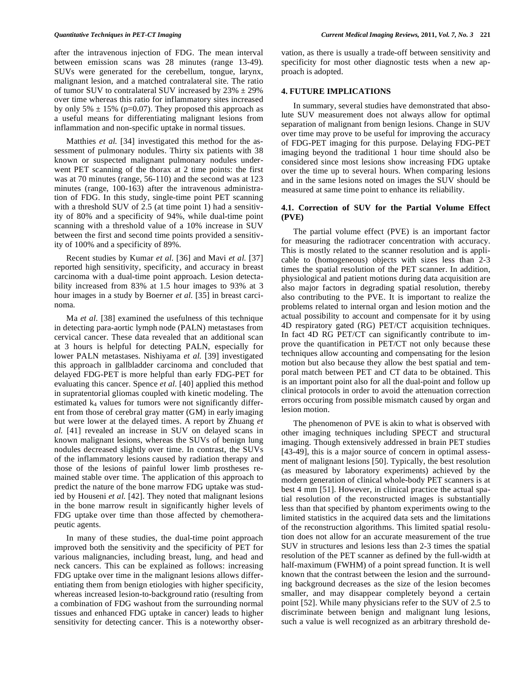after the intravenous injection of FDG. The mean interval between emission scans was 28 minutes (range 13-49). SUVs were generated for the cerebellum, tongue, larynx, malignant lesion, and a matched contralateral site. The ratio of tumor SUV to contralateral SUV increased by  $23\% \pm 29\%$ over time whereas this ratio for inflammatory sites increased by only 5%  $\pm$  15% (p=0.07). They proposed this approach as a useful means for differentiating malignant lesions from inflammation and non-specific uptake in normal tissues.

Matthies *et al.* [34] investigated this method for the assessment of pulmonary nodules. Thirty six patients with 38 known or suspected malignant pulmonary nodules underwent PET scanning of the thorax at 2 time points: the first was at 70 minutes (range, 56-110) and the second was at 123 minutes (range, 100-163) after the intravenous administration of FDG. In this study, single-time point PET scanning with a threshold SUV of 2.5 (at time point 1) had a sensitivity of 80% and a specificity of 94%, while dual-time point scanning with a threshold value of a 10% increase in SUV between the first and second time points provided a sensitivity of 100% and a specificity of 89%.

Recent studies by Kumar *et al.* [36] and Mavi *et al.* [37] reported high sensitivity, specificity, and accuracy in breast carcinoma with a dual-time point approach. Lesion detectability increased from 83% at 1.5 hour images to 93% at 3 hour images in a study by Boerner *et al.* [35] in breast carcinoma.

Ma *et al.* [38] examined the usefulness of this technique in detecting para-aortic lymph node (PALN) metastases from cervical cancer. These data revealed that an additional scan at 3 hours is helpful for detecting PALN, especially for lower PALN metastases. Nishiyama *et al.* [39] investigated this approach in gallbladder carcinoma and concluded that delayed FDG-PET is more helpful than early FDG-PET for evaluating this cancer. Spence *et al.* [40] applied this method in supratentorial gliomas coupled with kinetic modeling. The estimated  $k_4$  values for tumors were not significantly different from those of cerebral gray matter (GM) in early imaging but were lower at the delayed times. A report by Zhuang *et al.* [41] revealed an increase in SUV on delayed scans in known malignant lesions, whereas the SUVs of benign lung nodules decreased slightly over time. In contrast, the SUVs of the inflammatory lesions caused by radiation therapy and those of the lesions of painful lower limb prostheses remained stable over time. The application of this approach to predict the nature of the bone marrow FDG uptake was studied by Houseni *et al.* [42]. They noted that malignant lesions in the bone marrow result in significantly higher levels of FDG uptake over time than those affected by chemotherapeutic agents.

In many of these studies, the dual-time point approach improved both the sensitivity and the specificity of PET for various malignancies, including breast, lung, and head and neck cancers. This can be explained as follows: increasing FDG uptake over time in the malignant lesions allows differentiating them from benign etiologies with higher specificity, whereas increased lesion-to-background ratio (resulting from a combination of FDG washout from the surrounding normal tissues and enhanced FDG uptake in cancer) leads to higher sensitivity for detecting cancer. This is a noteworthy observation, as there is usually a trade-off between sensitivity and specificity for most other diagnostic tests when a new approach is adopted.

#### **4. FUTURE IMPLICATIONS**

In summary, several studies have demonstrated that absolute SUV measurement does not always allow for optimal separation of malignant from benign lesions. Change in SUV over time may prove to be useful for improving the accuracy of FDG-PET imaging for this purpose. Delaying FDG-PET imaging beyond the traditional 1 hour time should also be considered since most lesions show increasing FDG uptake over the time up to several hours. When comparing lesions and in the same lesions noted on images the SUV should be measured at same time point to enhance its reliability.

# **4.1. Correction of SUV for the Partial Volume Effect (PVE)**

The partial volume effect (PVE) is an important factor for measuring the radiotracer concentration with accuracy. This is mostly related to the scanner resolution and is applicable to (homogeneous) objects with sizes less than 2-3 times the spatial resolution of the PET scanner. In addition, physiological and patient motions during data acquisition are also major factors in degrading spatial resolution, thereby also contributing to the PVE. It is important to realize the problems related to internal organ and lesion motion and the actual possibility to account and compensate for it by using 4D respiratory gated (RG) PET/CT acquisition techniques. In fact 4D RG PET/CT can significantly contribute to improve the quantification in PET/CT not only because these techniques allow accounting and compensating for the lesion motion but also because they allow the best spatial and temporal match between PET and CT data to be obtained. This is an important point also for all the dual-point and follow up clinical protocols in order to avoid the attenuation correction errors occuring from possible mismatch caused by organ and lesion motion.

The phenomenon of PVE is akin to what is observed with other imaging techniques including SPECT and structural imaging. Though extensively addressed in brain PET studies [43-49], this is a major source of concern in optimal assessment of malignant lesions [50]. Typically, the best resolution (as measured by laboratory experiments) achieved by the modern generation of clinical whole-body PET scanners is at best 4 mm [51]. However, in clinical practice the actual spatial resolution of the reconstructed images is substantially less than that specified by phantom experiments owing to the limited statistics in the acquired data sets and the limitations of the reconstruction algorithms. This limited spatial resolution does not allow for an accurate measurement of the true SUV in structures and lesions less than 2-3 times the spatial resolution of the PET scanner as defined by the full-width at half-maximum (FWHM) of a point spread function. It is well known that the contrast between the lesion and the surrounding background decreases as the size of the lesion becomes smaller, and may disappear completely beyond a certain point [52]. While many physicians refer to the SUV of 2.5 to discriminate between benign and malignant lung lesions, such a value is well recognized as an arbitrary threshold de-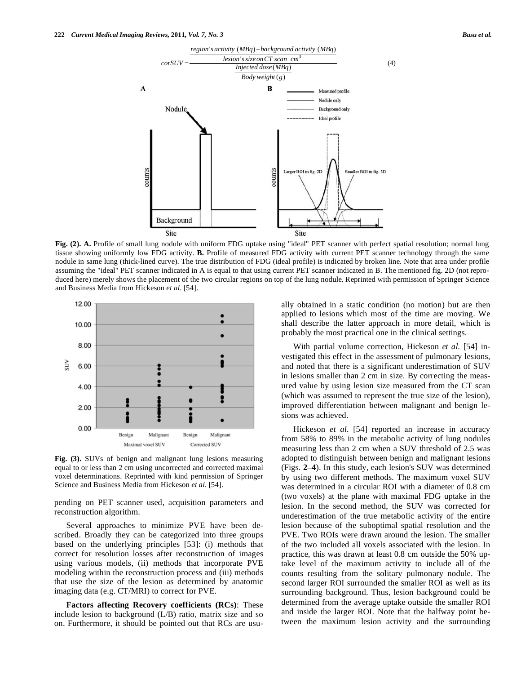

Fig. (2). A. Profile of small lung nodule with uniform FDG uptake using "ideal" PET scanner with perfect spatial resolution; normal lung tissue showing uniformly low FDG activity. **B.** Profile of measured FDG activity with current PET scanner technology through the same nodule in same lung (thick-lined curve). The true distribution of FDG (ideal profile) is indicated by broken line. Note that area under profile assuming the "ideal" PET scanner indicated in A is equal to that using current PET scanner indicated in B. The mentioned fig. 2D (not reproduced here) merely shows the placement of the two circular regions on top of the lung nodule. Reprinted with permission of Springer Science and Business Media from Hickeson *et al.* [54].



**Fig. (3).** SUVs of benign and malignant lung lesions measuring equal to or less than 2 cm using uncorrected and corrected maximal voxel determinations. Reprinted with kind permission of Springer Science and Business Media from Hickeson *et al.* [54].

pending on PET scanner used, acquisition parameters and reconstruction algorithm.

Several approaches to minimize PVE have been described. Broadly they can be categorized into three groups based on the underlying principles [53]: (i) methods that correct for resolution losses after reconstruction of images using various models, (ii) methods that incorporate PVE modeling within the reconstruction process and (iii) methods that use the size of the lesion as determined by anatomic imaging data (e.g. CT/MRI) to correct for PVE.

**Factors affecting Recovery coefficients (RCs)**: These include lesion to background (L/B) ratio, matrix size and so on. Furthermore, it should be pointed out that RCs are usually obtained in a static condition (no motion) but are then applied to lesions which most of the time are moving. We shall describe the latter approach in more detail, which is probably the most practical one in the clinical settings.

With partial volume correction, Hickeson *et al.* [54] investigated this effect in the assessment of pulmonary lesions, and noted that there is a significant underestimation of SUV in lesions smaller than 2 cm in size. By correcting the measured value by using lesion size measured from the CT scan (which was assumed to represent the true size of the lesion), improved differentiation between malignant and benign lesions was achieved.

Hickeson *et al.* [54] reported an increase in accuracy from 58% to 89% in the metabolic activity of lung nodules measuring less than 2 cm when a SUV threshold of 2.5 was adopted to distinguish between benign and malignant lesions (Figs. **2–4**). In this study, each lesion's SUV was determined by using two different methods. The maximum voxel SUV was determined in a circular ROI with a diameter of 0.8 cm (two voxels) at the plane with maximal FDG uptake in the lesion. In the second method, the SUV was corrected for underestimation of the true metabolic activity of the entire lesion because of the suboptimal spatial resolution and the PVE. Two ROIs were drawn around the lesion. The smaller of the two included all voxels associated with the lesion. In practice, this was drawn at least 0.8 cm outside the 50% uptake level of the maximum activity to include all of the counts resulting from the solitary pulmonary nodule. The second larger ROI surrounded the smaller ROI as well as its surrounding background. Thus, lesion background could be determined from the average uptake outside the smaller ROI and inside the larger ROI. Note that the halfway point between the maximum lesion activity and the surrounding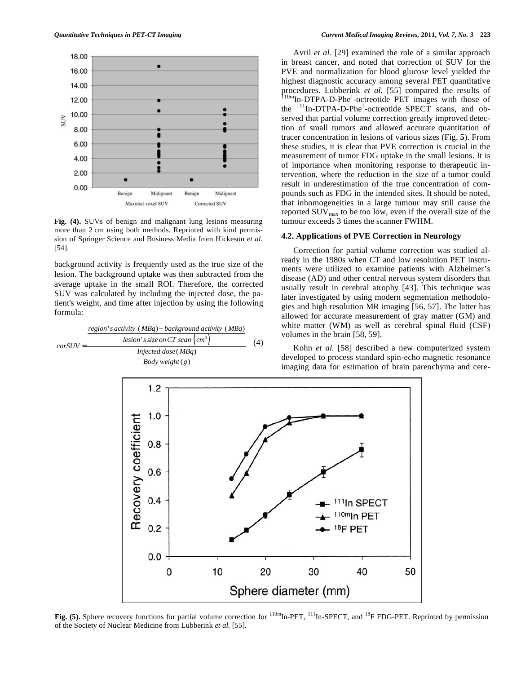

**Fig. (4).** SUVs of benign and malignant lung lesions measuring more than 2 cm using both methods. Reprinted with kind permission of Springer Science and Business Media from Hickeson *et al.* [54].

background activity is frequently used as the true size of the lesion. The background uptake was then subtracted from the average uptake in the small ROI. Therefore, the corrected SUV was calculated by including the injected dose, the patient's weight, and time after injection by using the following formula:



Avril *et al.* [29] examined the role of a similar approach in breast cancer, and noted that correction of SUV for the PVE and normalization for blood glucose level yielded the highest diagnostic accuracy among several PET quantitative procedures. Lubberink *et al.* [55] compared the results of  $110m<sub>Im-DE</sub>$  $n<sup>a</sup>$ In-DTPA-D-Phe<sup>1</sup>-octreotide PET images with those of the  $^{111}$ In-DTPA-D-Phe<sup>1</sup>-octreotide SPECT scans, and observed that partial volume correction greatly improved detection of small tumors and allowed accurate quantitation of tracer concentration in lesions of various sizes (Fig. **5**). From these studies, it is clear that PVE correction is crucial in the measurement of tumor FDG uptake in the small lesions. It is of importance when monitoring response to therapeutic intervention, where the reduction in the size of a tumor could result in underestimation of the true concentration of compounds such as FDG in the intended sites. It should be noted, that inhomogeneities in a large tumour may still cause the reported  $\text{SUV}_{\text{max}}$  to be too low, even if the overall size of the tumour exceeds 3 times the scanner FWHM.

#### **4.2. Applications of PVE Correction in Neurology**

Correction for partial volume correction was studied already in the 1980s when CT and low resolution PET instruments were utilized to examine patients with Alzheimer's disease (AD) and other central nervous system disorders that usually result in cerebral atrophy [43]. This technique was later investigated by using modern segmentation methodologies and high resolution MR imaging [56, 57]. The latter has allowed for accurate measurement of gray matter (GM) and white matter (WM) as well as cerebral spinal fluid (CSF) volumes in the brain [58, 59].

Kohn *et al.* [58] described a new computerized system developed to process standard spin-echo magnetic resonance imaging data for estimation of brain parenchyma and cere-



**Fig. (5).** Sphere recovery functions for partial volume correction for <sup>110m</sup>In-PET, <sup>111</sup>In-SPECT, and <sup>18</sup>F FDG-PET. Reprinted by permission of the Society of Nuclear Medicine from Lubberink *et al.* [55].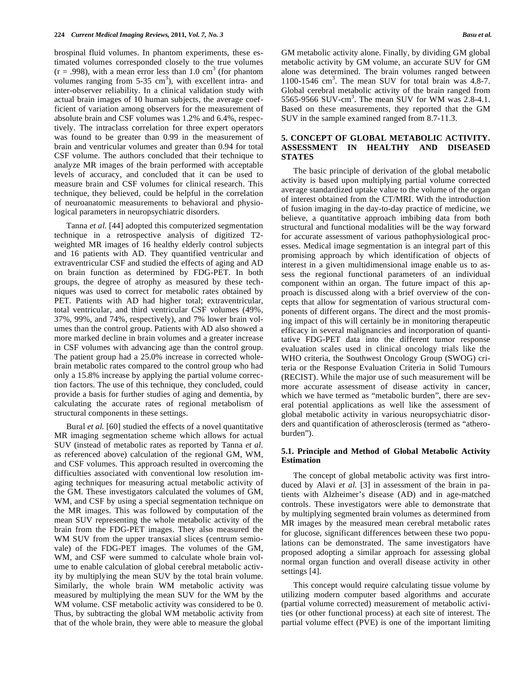brospinal fluid volumes. In phantom experiments, these estimated volumes corresponded closely to the true volumes  $(r = .998)$ , with a mean error less than 1.0 cm<sup>3</sup> (for phantom volumes ranging from  $5-35$  cm<sup>3</sup>), with excellent intra- and inter-observer reliability. In a clinical validation study with actual brain images of 10 human subjects, the average coefficient of variation among observers for the measurement of absolute brain and CSF volumes was 1.2% and 6.4%, respectively. The intraclass correlation for three expert operators was found to be greater than 0.99 in the measurement of brain and ventricular volumes and greater than 0.94 for total CSF volume. The authors concluded that their technique to analyze MR images of the brain performed with acceptable levels of accuracy, and concluded that it can be used to measure brain and CSF volumes for clinical research. This technique, they believed, could be helpful in the correlation of neuroanatomic measurements to behavioral and physiological parameters in neuropsychiatric disorders.

Tanna *et al.* [44] adopted this computerized segmentation technique in a retrospective analysis of digitized T2 weighted MR images of 16 healthy elderly control subjects and 16 patients with AD. They quantified ventricular and extraventricular CSF and studied the effects of aging and AD on brain function as determined by FDG-PET. In both groups, the degree of atrophy as measured by these techniques was used to correct for metabolic rates obtained by PET. Patients with AD had higher total; extraventricular, total ventricular, and third ventricular CSF volumes (49%, 37%, 99%, and 74%, respectively), and 7% lower brain volumes than the control group. Patients with AD also showed a more marked decline in brain volumes and a greater increase in CSF volumes with advancing age than the control group. The patient group had a 25.0% increase in corrected wholebrain metabolic rates compared to the control group who had only a 15.8% increase by applying the partial volume correction factors. The use of this technique, they concluded, could provide a basis for further studies of aging and dementia, by calculating the accurate rates of regional metabolism of structural components in these settings.

Bural *et al.* [60] studied the effects of a novel quantitative MR imaging segmentation scheme which allows for actual SUV (instead of metabolic rates as reported by Tanna *et al.* as referenced above) calculation of the regional GM, WM, and CSF volumes. This approach resulted in overcoming the difficulties associated with conventional low resolution imaging techniques for measuring actual metabolic activity of the GM. These investigators calculated the volumes of GM, WM, and CSF by using a special segmentation technique on the MR images. This was followed by computation of the mean SUV representing the whole metabolic activity of the brain from the FDG-PET images. They also measured the WM SUV from the upper transaxial slices (centrum semiovale) of the FDG-PET images. The volumes of the GM, WM, and CSF were summed to calculate whole brain volume to enable calculation of global cerebral metabolic activity by multiplying the mean SUV by the total brain volume. Similarly, the whole brain WM metabolic activity was measured by multiplying the mean SUV for the WM by the WM volume. CSF metabolic activity was considered to be 0. Thus, by subtracting the global WM metabolic activity from that of the whole brain, they were able to measure the global GM metabolic activity alone. Finally, by dividing GM global metabolic activity by GM volume, an accurate SUV for GM alone was determined. The brain volumes ranged between 1100-1546 cm<sup>3</sup>. The mean SUV for total brain was 4.8-7. Global cerebral metabolic activity of the brain ranged from 5565-9566 SUV-cm<sup>3</sup>. The mean SUV for WM was 2.8-4.1. Based on these measurements, they reported that the GM SUV in the sample examined ranged from 8.7-11.3.

# **5. CONCEPT OF GLOBAL METABOLIC ACTIVITY. ASSESSMENT IN HEALTHY AND DISEASED STATES**

The basic principle of derivation of the global metabolic activity is based upon multiplying partial volume corrected average standardized uptake value to the volume of the organ of interest obtained from the CT/MRI. With the introduction of fusion imaging in the day-to-day practice of medicine, we believe, a quantitative approach imbibing data from both structural and functional modalities will be the way forward for accurate assessment of various pathophysiological processes. Medical image segmentation is an integral part of this promising approach by which identification of objects of interest in a given multidimensional image enable us to assess the regional functional parameters of an individual component within an organ. The future impact of this approach is discussed along with a brief overview of the concepts that allow for segmentation of various structural components of different organs. The direct and the most promising impact of this will certainly be in monitoring therapeutic efficacy in several malignancies and incorporation of quantitative FDG-PET data into the different tumor response evaluation scales used in clinical oncology trials like the WHO criteria, the Southwest Oncology Group (SWOG) criteria or the Response Evaluation Criteria in Solid Tumours (RECIST). While the major use of such measurement will be more accurate assessment of disease activity in cancer, which we have termed as "metabolic burden", there are several potential applications as well like the assessment of global metabolic activity in various neuropsychiatric disorders and quantification of atherosclerosis (termed as "atheroburden").

# **5.1. Principle and Method of Global Metabolic Activity Estimation**

The concept of global metabolic activity was first introduced by Alavi *et al.* [3] in assessment of the brain in patients with Alzheimer's disease (AD) and in age-matched controls. These investigators were able to demonstrate that by multiplying segmented brain volumes as determined from MR images by the measured mean cerebral metabolic rates for glucose, significant differences between these two populations can be demonstrated. The same investigators have proposed adopting a similar approach for assessing global normal organ function and overall disease activity in other settings [4].

This concept would require calculating tissue volume by utilizing modern computer based algorithms and accurate (partial volume corrected) measurement of metabolic activities (or other functional process) at each site of interest. The partial volume effect (PVE) is one of the important limiting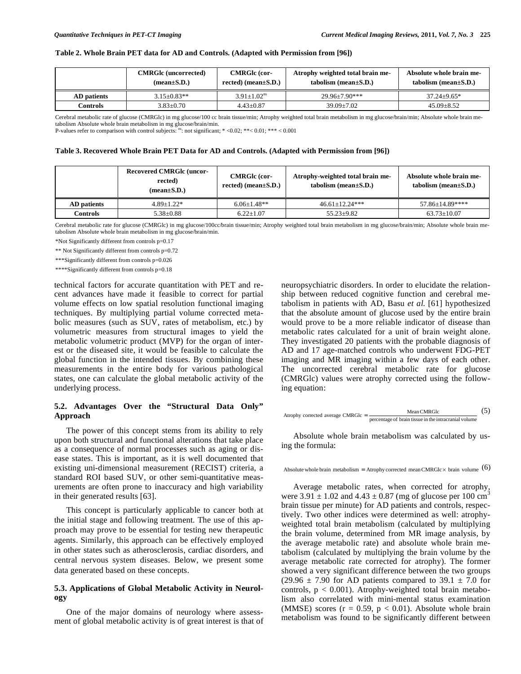#### **Table 2. Whole Brain PET data for AD and Controls. (Adapted with Permission from [96])**

|             | <b>CMRGIc (uncorrected)</b><br>$(mean \pm S.D.)$ | <b>CMRGIc (cor-</b><br>rected) (mean $\pm$ S.D.) | Atrophy weighted total brain me-<br>tabolism (mean $\pm$ S.D.) | Absolute whole brain me-<br>tabolism (mean $\pm$ S.D.) |
|-------------|--------------------------------------------------|--------------------------------------------------|----------------------------------------------------------------|--------------------------------------------------------|
| AD patients | $3.15 + 0.83**$                                  | $3.91 + 1.02$ <sup>ns</sup>                      | $29.96 \pm 7.90$ ***                                           | $37.24 + 9.65*$                                        |
| Controls    | $3.83 + 0.70$                                    | $4.43 \pm 0.87$                                  | $39.09 \pm 7.02$                                               | $45.09 + 8.52$                                         |

Cerebral metabolic rate of glucose (CMRGlc) in mg glucose/100 cc brain tissue/min; Atrophy weighted total brain metabolism in mg glucose/brain/min; Absolute whole brain metabolism Absolute whole brain metabolism in mg glucose/brain/min.

P-values refer to comparison with control subjects:  $\frac{18}{15}$ : not significant;  $* < 0.02$ ;  $** < 0.01$ ;  $*** < 0.001$ 

#### **Table 3. Recovered Whole Brain PET Data for AD and Controls. (Adapted with Permission from [96])**

|             | <b>Recovered CMRGIc (uncor-</b><br>rected)<br>$(mean \pm S.D.)$ | <b>CMRGIc (cor-</b><br>rected) (mean $\pm$ S.D.) | Atrophy-weighted total brain me-<br>tabolism (mean $\pm$ S.D.) | Absolute whole brain me-<br>tabolism (mean $\pm$ S.D.) |
|-------------|-----------------------------------------------------------------|--------------------------------------------------|----------------------------------------------------------------|--------------------------------------------------------|
| AD patients | $4.89+1.22*$                                                    | $6.06+1.48**$                                    | $46.61 + 12.24$ ***                                            | $57.86 + 14.89$ ****                                   |
| Controls    | $5.38 \pm 0.88$                                                 | $6.22+1.07$                                      | $55.23+9.82$                                                   | $63.73 + 10.07$                                        |

Cerebral metabolic rate for glucose (CMRGlc) in mg glucose/100cc/brain tissue/min; Atrophy weighted total brain metabolism in mg glucose/brain/min; Absolute whole brain metabolism Absolute whole brain metabolism in mg glucose/brain/min.

\*Not Significantly different from controls p=0.17

\*\* Not Significantly different from controls p=0.72

\*\*\*Significantly different from controls p=0.026

\*\*\*\*Significantly different from controls p=0.18

technical factors for accurate quantitation with PET and recent advances have made it feasible to correct for partial volume effects on low spatial resolution functional imaging techniques. By multiplying partial volume corrected metabolic measures (such as SUV, rates of metabolism, etc.) by volumetric measures from structural images to yield the metabolic volumetric product (MVP) for the organ of interest or the diseased site, it would be feasible to calculate the global function in the intended tissues. By combining these measurements in the entire body for various pathological states, one can calculate the global metabolic activity of the underlying process.

# **5.2. Advantages Over the "Structural Data Only" Approach**

The power of this concept stems from its ability to rely upon both structural and functional alterations that take place as a consequence of normal processes such as aging or disease states. This is important, as it is well documented that existing uni-dimensional measurement (RECIST) criteria, a standard ROI based SUV, or other semi-quantitative measurements are often prone to inaccuracy and high variability in their generated results [63].

This concept is particularly applicable to cancer both at the initial stage and following treatment. The use of this approach may prove to be essential for testing new therapeutic agents. Similarly, this approach can be effectively employed in other states such as atherosclerosis, cardiac disorders, and central nervous system diseases. Below, we present some data generated based on these concepts.

# **5.3. Applications of Global Metabolic Activity in Neurology**

One of the major domains of neurology where assessment of global metabolic activity is of great interest is that of neuropsychiatric disorders. In order to elucidate the relationship between reduced cognitive function and cerebral metabolism in patients with AD, Basu *et al.* [61] hypothesized that the absolute amount of glucose used by the entire brain would prove to be a more reliable indicator of disease than metabolic rates calculated for a unit of brain weight alone. They investigated 20 patients with the probable diagnosis of AD and 17 age-matched controls who underwent FDG-PET imaging and MR imaging within a few days of each other. The uncorrected cerebral metabolic rate for glucose (CMRGlc) values were atrophy corrected using the following equation:

Atrophy corrected average CMRGlc

\n
$$
= \frac{\text{Mean CMRGl}}{\text{percentage of brain tissue in the intracranial volume}} \quad (5)
$$

Absolute whole brain metabolism was calculated by using the formula:

Absolute whole brain metabolism = Atrophy corrected mean CMRGlc  $\times$  brain volume (6)

Average metabolic rates, when corrected for atrophy, were  $3.91 \pm 1.02$  and  $4.43 \pm 0.87$  (mg of glucose per 100 cm<sup>3</sup> brain tissue per minute) for AD patients and controls, respectively. Two other indices were determined as well: atrophyweighted total brain metabolism (calculated by multiplying the brain volume, determined from MR image analysis, by the average metabolic rate) and absolute whole brain metabolism (calculated by multiplying the brain volume by the average metabolic rate corrected for atrophy). The former showed a very significant difference between the two groups (29.96  $\pm$  7.90 for AD patients compared to 39.1  $\pm$  7.0 for controls,  $p < 0.001$ ). Atrophy-weighted total brain metabolism also correlated with mini-mental status examination (MMSE) scores ( $r = 0.59$ ,  $p < 0.01$ ). Absolute whole brain metabolism was found to be significantly different between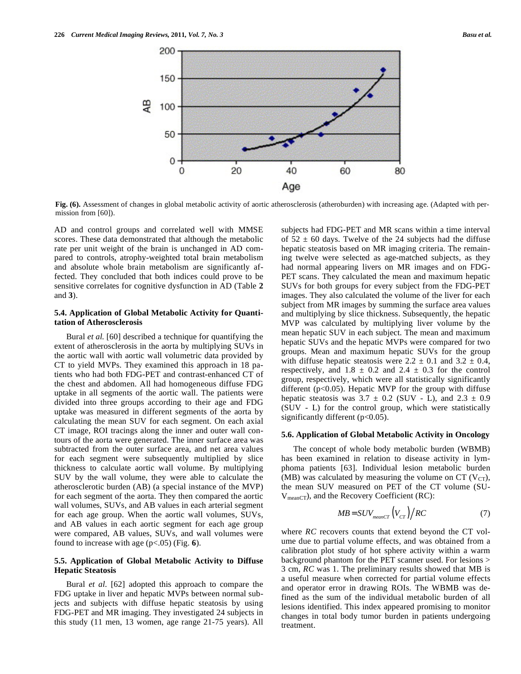

**Fig. (6).** Assessment of changes in global metabolic activity of aortic atherosclerosis (atheroburden) with increasing age. (Adapted with permission from [60]).

AD and control groups and correlated well with MMSE scores. These data demonstrated that although the metabolic rate per unit weight of the brain is unchanged in AD compared to controls, atrophy-weighted total brain metabolism and absolute whole brain metabolism are significantly affected. They concluded that both indices could prove to be sensitive correlates for cognitive dysfunction in AD (Table **2** and **3**).

# **5.4. Application of Global Metabolic Activity for Quantitation of Atherosclerosis**

Bural *et al.* [60] described a technique for quantifying the extent of atherosclerosis in the aorta by multiplying SUVs in the aortic wall with aortic wall volumetric data provided by CT to yield MVPs. They examined this approach in 18 patients who had both FDG-PET and contrast-enhanced CT of the chest and abdomen. All had homogeneous diffuse FDG uptake in all segments of the aortic wall. The patients were divided into three groups according to their age and FDG uptake was measured in different segments of the aorta by calculating the mean SUV for each segment. On each axial CT image, ROI tracings along the inner and outer wall contours of the aorta were generated. The inner surface area was subtracted from the outer surface area, and net area values for each segment were subsequently multiplied by slice thickness to calculate aortic wall volume. By multiplying SUV by the wall volume, they were able to calculate the atherosclerotic burden (AB) (a special instance of the MVP) for each segment of the aorta. They then compared the aortic wall volumes, SUVs, and AB values in each arterial segment for each age group. When the aortic wall volumes, SUVs, and AB values in each aortic segment for each age group were compared, AB values, SUVs, and wall volumes were found to increase with age (p<.05) (Fig. **6**).

# **5.5. Application of Global Metabolic Activity to Diffuse Hepatic Steatosis**

Bural *et al.* [62] adopted this approach to compare the FDG uptake in liver and hepatic MVPs between normal subjects and subjects with diffuse hepatic steatosis by using FDG-PET and MR imaging. They investigated 24 subjects in this study (11 men, 13 women, age range 21-75 years). All subjects had FDG-PET and MR scans within a time interval of  $52 \pm 60$  days. Twelve of the 24 subjects had the diffuse hepatic steatosis based on MR imaging criteria. The remaining twelve were selected as age-matched subjects, as they had normal appearing livers on MR images and on FDG-PET scans. They calculated the mean and maximum hepatic SUVs for both groups for every subject from the FDG-PET images. They also calculated the volume of the liver for each subject from MR images by summing the surface area values and multiplying by slice thickness. Subsequently, the hepatic MVP was calculated by multiplying liver volume by the mean hepatic SUV in each subject. The mean and maximum hepatic SUVs and the hepatic MVPs were compared for two groups. Mean and maximum hepatic SUVs for the group with diffuse hepatic steatosis were  $2.2 \pm 0.1$  and  $3.2 \pm 0.4$ , respectively, and  $1.8 \pm 0.2$  and  $2.4 \pm 0.3$  for the control group, respectively, which were all statistically significantly different ( $p<0.05$ ). Hepatic MVP for the group with diffuse hepatic steatosis was  $3.7 \pm 0.2$  (SUV - L), and  $2.3 \pm 0.9$ (SUV - L) for the control group, which were statistically significantly different (p<0.05).

### **5.6. Application of Global Metabolic Activity in Oncology**

The concept of whole body metabolic burden (WBMB) has been examined in relation to disease activity in lymphoma patients [63]. Individual lesion metabolic burden (MB) was calculated by measuring the volume on CT ( $V_{CT}$ ), the mean SUV measured on PET of the CT volume (SU- $V_{\text{meanCT}}$ , and the Recovery Coefficient (RC):

$$
MB = SUV_{meanCT} \left( V_{CT} \right) / RC \tag{7}
$$

where *RC* recovers counts that extend beyond the CT volume due to partial volume effects, and was obtained from a calibration plot study of hot sphere activity within a warm background phantom for the PET scanner used. For lesions > 3 cm, *RC* was 1. The preliminary results showed that MB is a useful measure when corrected for partial volume effects and operator error in drawing ROIs. The WBMB was defined as the sum of the individual metabolic burden of all lesions identified. This index appeared promising to monitor changes in total body tumor burden in patients undergoing treatment.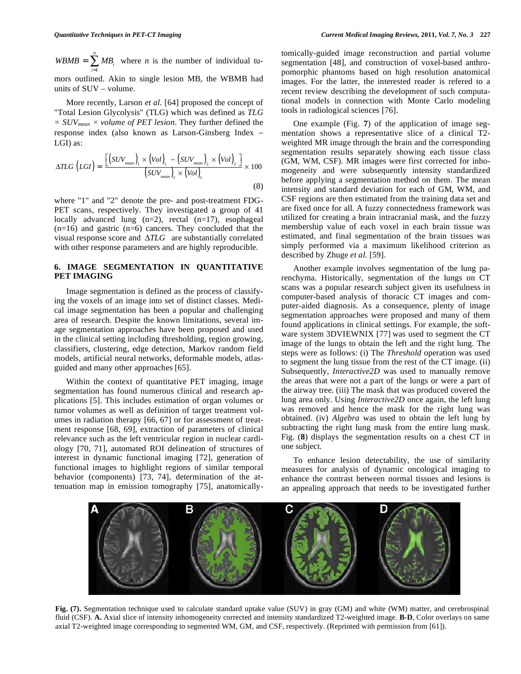$WBMB = \sum_{i=1}^{N} MB_i$  $\sum_{i=1}^{n} MB_i$  where *n* is the number of individual tumors outlined. Akin to single lesion MB, the WBMB had units of SUV – volume.

More recently, Larson *et al.* [64] proposed the concept of "Total Lesion Glycolysis" (TLG) which was defined as *TLG*   $= SUV_{mean} \times volume$  of PET lesion. They further defined the response index (also known as Larson-Ginsberg Index LGI) as:

$$
\Delta TLG\left(LGI\right) = \frac{\left[\left(SUV_{mean}\right)_1 \times \left(Vol\right)_1 - \left(SUV_{mean}\right)_2 \times \left(Vol\right)_2\right]}{\left(SUV_{mean}\right)_1 \times \left(Vol\right)_1} \times 100
$$
\n(8)

where "1" and "2" denote the pre- and post-treatment FDG-PET scans, respectively. They investigated a group of 41 locally advanced lung (n=2), rectal (n=17), esophageal  $(n=16)$  and gastric  $(n=6)$  cancers. They concluded that the visual response score and  $\triangle TLG$  are substantially correlated with other response parameters and are highly reproducible.

# **6. IMAGE SEGMENTATION IN QUANTITATIVE PET IMAGING**

Image segmentation is defined as the process of classifying the voxels of an image into set of distinct classes. Medical image segmentation has been a popular and challenging area of research. Despite the known limitations, several image segmentation approaches have been proposed and used in the clinical setting including thresholding, region growing, classifiers, clustering, edge detection, Markov random field models, artificial neural networks, deformable models, atlasguided and many other approaches [65].

Within the context of quantitative PET imaging, image segmentation has found numerous clinical and research applications [5]. This includes estimation of organ volumes or tumor volumes as well as definition of target treatment volumes in radiation therapy [66, 67] or for assessment of treatment response [68, 69], extraction of parameters of clinical relevance such as the left ventricular region in nuclear cardiology [70, 71], automated ROI delineation of structures of interest in dynamic functional imaging [72], generation of functional images to highlight regions of similar temporal behavior (components) [73, 74], determination of the attenuation map in emission tomography [75], anatomicallytomically-guided image reconstruction and partial volume segmentation [48], and construction of voxel-based anthropomorphic phantoms based on high resolution anatomical images. For the latter, the interested reader is refered to a recent review describing the development of such computational models in connection with Monte Carlo modeling tools in radiological sciences [76].

One example (Fig. **7**) of the application of image segmentation shows a representative slice of a clinical T2 weighted MR image through the brain and the corresponding segmentation results separately showing each tissue class (GM, WM, CSF). MR images were first corrected for inhomogeneity and were subsequently intensity standardized before applying a segmentation method on them. The mean intensity and standard deviation for each of GM, WM, and CSF regions are then estimated from the training data set and are fixed once for all. A fuzzy connectedness framework was utilized for creating a brain intracranial mask, and the fuzzy membership value of each voxel in each brain tissue was estimated, and final segmentation of the brain tissues was simply performed via a maximum likelihood criterion as described by Zhuge *et al.* [59].

Another example involves segmentation of the lung parenchyma. Historically, segmentation of the lungs on CT scans was a popular research subject given its usefulness in computer-based analysis of thoracic CT images and computer-aided diagnosis. As a consequence, plenty of image segmentation approaches were proposed and many of them found applications in clinical settings. For example, the software system 3DVIEWNIX [77] was used to segment the CT image of the lungs to obtain the left and the right lung. The steps were as follows: (i) The *Threshold* operation was used to segment the lung tissue from the rest of the CT image. (ii) Subsequently, *Interactive2D* was used to manually remove the areas that were not a part of the lungs or were a part of the airway tree. (iii) The mask that was produced covered the lung area only. Using *Interactive2D* once again, the left lung was removed and hence the mask for the right lung was obtained. (iv) *Algebra* was used to obtain the left lung by subtracting the right lung mask from the entire lung mask. Fig. (**8**) displays the segmentation results on a chest CT in one subject.

To enhance lesion detectability, the use of similarity measures for analysis of dynamic oncological imaging to enhance the contrast between normal tissues and lesions is an appealing approach that needs to be investigated further



**Fig. (7).** Segmentation technique used to calculate standard uptake value (SUV) in gray (GM) and white (WM) matter, and cerebrospinal fluid (CSF). **A.** Axial slice of intensity inhomogeneity corrected and intensity standardized T2-weighted image. **B-D**, Color overlays on same axial T2-weighted image corresponding to segmented WM, GM, and CSF, respectively. (Reprinted with permission from [61]).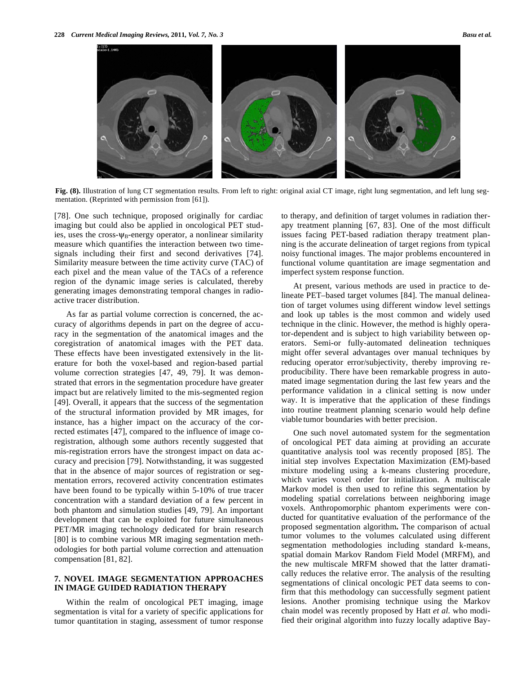

Fig. (8). Illustration of lung CT segmentation results. From left to right: original axial CT image, right lung segmentation, and left lung segmentation. (Reprinted with permission from [61]).

[78]. One such technique, proposed originally for cardiac imaging but could also be applied in oncological PET studies, uses the cross- $\psi_B$ -energy operator, a nonlinear similarity measure which quantifies the interaction between two timesignals including their first and second derivatives [74]. Similarity measure between the time activity curve (TAC) of each pixel and the mean value of the TACs of a reference region of the dynamic image series is calculated, thereby generating images demonstrating temporal changes in radioactive tracer distribution.

As far as partial volume correction is concerned, the accuracy of algorithms depends in part on the degree of accuracy in the segmentation of the anatomical images and the coregistration of anatomical images with the PET data. These effects have been investigated extensively in the literature for both the voxel-based and region-based partial volume correction strategies [47, 49, 79]. It was demonstrated that errors in the segmentation procedure have greater impact but are relatively limited to the mis-segmented region [49]. Overall, it appears that the success of the segmentation of the structural information provided by MR images, for instance, has a higher impact on the accuracy of the corrected estimates [47], compared to the influence of image coregistration, although some authors recently suggested that mis-registration errors have the strongest impact on data accuracy and precision [79]. Notwithstanding, it was suggested that in the absence of major sources of registration or segmentation errors, recovered activity concentration estimates have been found to be typically within 5-10% of true tracer concentration with a standard deviation of a few percent in both phantom and simulation studies [49, 79]. An important development that can be exploited for future simultaneous PET/MR imaging technology dedicated for brain research [80] is to combine various MR imaging segmentation methodologies for both partial volume correction and attenuation compensation [81, 82].

# **7. NOVEL IMAGE SEGMENTATION APPROACHES IN IMAGE GUIDED RADIATION THERAPY**

Within the realm of oncological PET imaging, image segmentation is vital for a variety of specific applications for tumor quantitation in staging, assessment of tumor response to therapy, and definition of target volumes in radiation therapy treatment planning [67, 83]. One of the most difficult issues facing PET-based radiation therapy treatment planning is the accurate delineation of target regions from typical noisy functional images. The major problems encountered in functional volume quantitation are image segmentation and imperfect system response function.

At present, various methods are used in practice to delineate PET–based target volumes [84]. The manual delineation of target volumes using different window level settings and look up tables is the most common and widely used technique in the clinic. However, the method is highly operator-dependent and is subject to high variability between operators. Semi-or fully-automated delineation techniques might offer several advantages over manual techniques by reducing operator error/subjectivity, thereby improving reproducibility. There have been remarkable progress in automated image segmentation during the last few years and the performance validation in a clinical setting is now under way. It is imperative that the application of these findings into routine treatment planning scenario would help define viable tumor boundaries with better precision.

One such novel automated system for the segmentation of oncological PET data aiming at providing an accurate quantitative analysis tool was recently proposed [85]. The initial step involves Expectation Maximization (EM)-based mixture modeling using a k-means clustering procedure, which varies voxel order for initialization. A multiscale Markov model is then used to refine this segmentation by modeling spatial correlations between neighboring image voxels. Anthropomorphic phantom experiments were conducted for quantitative evaluation of the performance of the proposed segmentation algorithm**.** The comparison of actual tumor volumes to the volumes calculated using different segmentation methodologies including standard k-means, spatial domain Markov Random Field Model (MRFM), and the new multiscale MRFM showed that the latter dramatically reduces the relative error. The analysis of the resulting segmentations of clinical oncologic PET data seems to confirm that this methodology can successfully segment patient lesions. Another promising technique using the Markov chain model was recently proposed by Hatt *et al.* who modified their original algorithm into fuzzy locally adaptive Bay-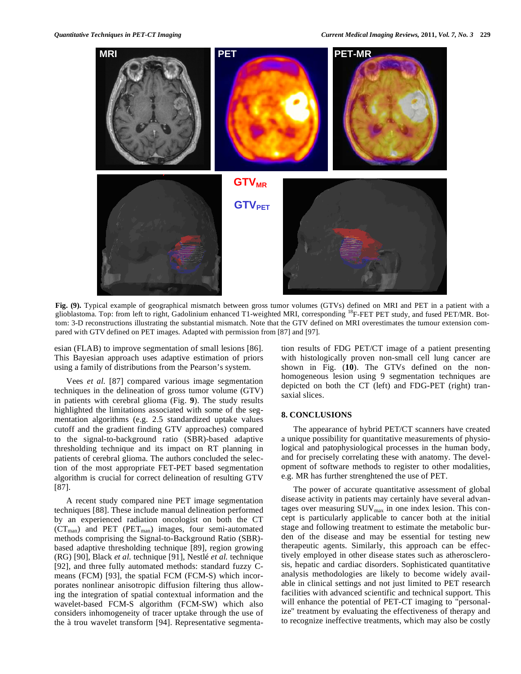

**Fig. (9).** Typical example of geographical mismatch between gross tumor volumes (GTVs) defined on MRI and PET in a patient with a glioblastoma. Top: from left to right, Gadolinium enhanced T1-weighted MRI, corresponding <sup>18</sup>F-FET PET study, and fused PET/MR. Bottom: 3-D reconstructions illustrating the substantial mismatch. Note that the GTV defined on MRI overestimates the tumour extension compared with GTV defined on PET images. Adapted with permission from [87] and [97].

esian (FLAB) to improve segmentation of small lesions [86]. This Bayesian approach uses adaptive estimation of priors using a family of distributions from the Pearson's system.

Vees *et al.* [87] compared various image segmentation techniques in the delineation of gross tumor volume (GTV) in patients with cerebral glioma (Fig. **9**). The study results highlighted the limitations associated with some of the segmentation algorithms (e.g. 2.5 standardized uptake values cutoff and the gradient finding GTV approaches) compared to the signal-to-background ratio (SBR)-based adaptive thresholding technique and its impact on RT planning in patients of cerebral glioma. The authors concluded the selection of the most appropriate FET-PET based segmentation algorithm is crucial for correct delineation of resulting GTV [87].

A recent study compared nine PET image segmentation techniques [88]. These include manual delineation performed by an experienced radiation oncologist on both the CT  $(CT_{man})$  and PET (PET<sub>man</sub>) images, four semi-automated methods comprising the Signal-to-Background Ratio (SBR) based adaptive thresholding technique [89], region growing (RG) [90], Black *et al.* technique [91], Nestlé *et al.* technique [92], and three fully automated methods: standard fuzzy Cmeans (FCM) [93], the spatial FCM (FCM-S) which incorporates nonlinear anisotropic diffusion filtering thus allowing the integration of spatial contextual information and the wavelet-based FCM-S algorithm (FCM-SW) which also considers inhomogeneity of tracer uptake through the use of the à trou wavelet transform [94]. Representative segmentation results of FDG PET/CT image of a patient presenting with histologically proven non-small cell lung cancer are shown in Fig. (**10**). The GTVs defined on the nonhomogeneous lesion using 9 segmentation techniques are depicted on both the CT (left) and FDG-PET (right) transaxial slices.

#### **8. CONCLUSIONS**

The appearance of hybrid PET/CT scanners have created a unique possibility for quantitative measurements of physiological and patophysiological processes in the human body, and for precisely correlating these with anatomy. The development of software methods to register to other modalities, e.g. MR has further strenghtened the use of PET.

The power of accurate quantitative assessment of global disease activity in patients may certainly have several advantages over measuring SUV<sub>max</sub> in one index lesion. This concept is particularly applicable to cancer both at the initial stage and following treatment to estimate the metabolic burden of the disease and may be essential for testing new therapeutic agents. Similarly, this approach can be effectively employed in other disease states such as atherosclerosis, hepatic and cardiac disorders. Sophisticated quantitative analysis methodologies are likely to become widely available in clinical settings and not just limited to PET research facilities with advanced scientific and technical support. This will enhance the potential of PET-CT imaging to "personalize" treatment by evaluating the effectiveness of therapy and to recognize ineffective treatments, which may also be costly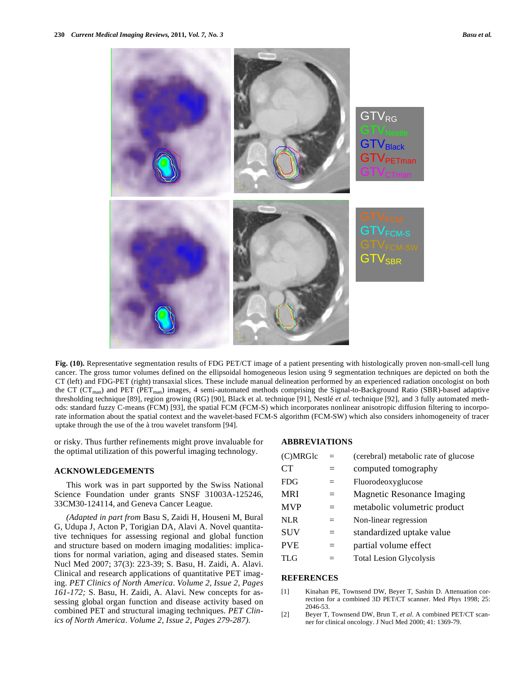

Fig. (10). Representative segmentation results of FDG PET/CT image of a patient presenting with histologically proven non-small-cell lung cancer. The gross tumor volumes defined on the ellipsoidal homogeneous lesion using 9 segmentation techniques are depicted on both the CT (left) and FDG-PET (right) transaxial slices. These include manual delineation performed by an experienced radiation oncologist on both the CT ( $CT_{man}$ ) and PET ( $PET_{man}$ ) images, 4 semi-automated methods comprising the Signal-to-Background Ratio (SBR)-based adaptive thresholding technique [89], region growing (RG) [90], Black et al. technique [91], Nestlé *et al.* technique [92], and 3 fully automated methods: standard fuzzy C-means (FCM) [93], the spatial FCM (FCM-S) which incorporates nonlinear anisotropic diffusion filtering to incorporate information about the spatial context and the wavelet-based FCM-S algorithm (FCM-SW) which also considers inhomogeneity of tracer uptake through the use of the à trou wavelet transform [94].

or risky. Thus further refinements might prove invaluable for the optimal utilization of this powerful imaging technology.

# **ACKNOWLEDGEMENTS**

This work was in part supported by the Swiss National Science Foundation under grants SNSF 31003A-125246, 33CM30-124114, and Geneva Cancer League.

*(Adapted in part from* Basu S, Zaidi H, Houseni M, Bural G, Udupa J, Acton P, Torigian DA, Alavi A. Novel quantitative techniques for assessing regional and global function and structure based on modern imaging modalities: implications for normal variation, aging and diseased states. Semin Nucl Med 2007; 37(3): 223-39; S. Basu, H. Zaidi, A. Alavi. Clinical and research applications of quantitative PET imaging. *PET Clinics of North America*. *Volume 2, Issue 2, Pages 161-172;* S. Basu, H. Zaidi, A. Alavi. New concepts for assessing global organ function and disease activity based on combined PET and structural imaging techniques. *PET Clinics of North America*. *Volume 2, Issue 2, Pages 279-287).*

# **ABBREVIATIONS**

| (C)MRGlc   | $=$      | (cerebral) metabolic rate of glucose |
|------------|----------|--------------------------------------|
| <b>CT</b>  |          | computed tomography                  |
| <b>FDG</b> | $=$      | Fluorodeoxyglucose                   |
| <b>MRI</b> | $=$      | <b>Magnetic Resonance Imaging</b>    |
| <b>MVP</b> | $=$      | metabolic volumetric product         |
| <b>NLR</b> | $=$      | Non-linear regression                |
| <b>SUV</b> | $=$      | standardized uptake value            |
| <b>PVE</b> | $\equiv$ | partial volume effect                |
| TLG        |          | <b>Total Lesion Glycolysis</b>       |
|            |          |                                      |

# **REFERENCES**

- [1] Kinahan PE, Townsend DW, Beyer T, Sashin D. Attenuation correction for a combined 3D PET/CT scanner. Med Phys 1998; 25: 2046-53.
- [2] Beyer T, Townsend DW, Brun T, *et al*. A combined PET/CT scanner for clinical oncology. J Nucl Med 2000; 41: 1369-79.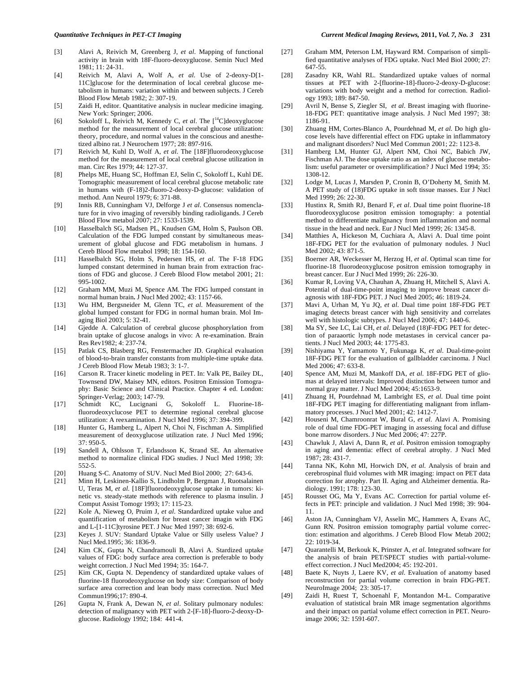- [3] Alavi A, Reivich M, Greenberg J, *et al*. Mapping of functional activity in brain with 18F-fluoro-deoxyglucose. Semin Nucl Med 1981; 11: 24-31.
- [4] Reivich M, Alavi A, Wolf A, *et al*. Use of 2-deoxy-D[1- 11C]glucose for the determination of local cerebral glucose metabolism in humans: variation within and between subjects. J Cereb Blood Flow Metab 1982; 2: 307-19.
- [5] Zaidi H, editor. Quantitative analysis in nuclear medicine imaging. New York: Springer; 2006.
- [6] Sokoloff L, Reivich M, Kennedy C, *et al*. The [14C]deoxyglucose method for the measurement of local cerebral glucose utilization: theory, procedure, and normal values in the conscious and anesthetized albino rat. J Neurochem 1977; 28: 897-916.
- [7] Reivich M, Kuhl D, Wolf A, *et al*. The [18F]fluorodeoxyglucose method for the measurement of local cerebral glucose utilization in man. Circ Res 1979; 44: 127-37.
- [8] Phelps ME, Huang SC, Hoffman EJ, Selin C, Sokoloff L, Kuhl DE. Tomographic measurement of local cerebral glucose metabolic rate in humans with (F-18)2-fluoro-2-deoxy-D-glucose: validation of method. Ann Neurol 1979; 6: 371-88.
- [9] Innis RB, Cunningham VJ, Delforge J *et al*. Consensus nomenclature for in vivo imaging of reversibly binding radioligands. J Cereb Blood Flow metabol 2007; 27: 1533-1539.
- [10] Hasselbalch SG, Madsen PL, Knudsen GM, Holm S, Paulson OB. Calculation of the FDG lumped constant by simultaneous measurement of global glucose and FDG metabolism in humans. J Cereb Blood Flow metabol 1998; 18: 154-160.
- [11] Hasselbalch SG, Holm S, Pedersen HS, *et al*. The F-18 FDG lumped constant determined in human brain from extraction fractions of FDG and glucose. J Cereb Blood Flow metabol 2001; 21: 995-1002.
- [12] Graham MM, Muzi M, Spence AM. The FDG lumped constant in normal human brain**.** J Nucl Med 2002; 43: 1157-66.
- [13] Wu HM, Bergsneider M, Glenn TC, *et al*. Measurement of the global lumped constant for FDG in normal human brain. Mol Imaging Biol 2003; 5: 32-41.
- [14] Gjedde A. Calculation of cerebral glucose phosphorylation from brain uptake of glucose analogs in vivo: A re-examination. Brain Res Rev1982; 4: 237-74.
- [15] Patlak CS, Blasberg RG, Fenstermacher JD. Graphical evaluation of blood-to-brain transfer constants from multiple-time uptake data. J Cereb Blood Flow Metab 1983; 3: 1-7.
- [16] Carson R. Tracer kinetic modeling in PET. In: Valk PE, Bailey DL, Townsend DW, Maisey MN, editors. Positron Emission Tomography: Basic Science and Clinical Practice. Chapter 4 ed. London: Springer-Verlag; 2003; 147-79.
- [17] Schmidt KC, Lucignani G, Sokoloff L. Fluorine-18fluorodeoxyclucose PET to determine regional cerebral glucose utilization: A reexamination. J Nucl Med 1996; 37: 394-399.
- [18] Hunter G, Hamberg L, Alpert N, Choi N, Fischman A. Simplified measurement of deoxyglucose utilization rate. J Nucl Med 1996;  $37.950 - 5$ .
- [19] Sandell A, Ohlsson T, Erlandsson K, Strand SE. An alternative method to normalize clinical FDG studies. J Nucl Med 1998; 39: 552-5.
- [20] Huang S-C. Anatomy of SUV. Nucl Med Biol 2000; 27: 643-6.<br>[21] Minn H, Leskinen-Kallio S, Lindholm P, Bergman J, Ruotsalain
- Minn H, Leskinen-Kallio S, Lindholm P, Bergman J, Ruotsalainen U, Teras M, *et al*. [18F]fluorodeoxyglucose uptake in tumors: kinetic vs. steady-state methods with reference to plasma insulin. J Comput Assist Tomogr 1993; 17: 115-23.
- [22] Kole A, Nieweg O, Pruim J, *et al*. Standardized uptake value and quantification of metabolism for breast cancer imagin with FDG and L-[1-11C]tyrosine PET. J Nuc Med 1997; 38: 692-6.
- [23] Keyes J. SUV: Standard Uptake Value or Silly useless Value? J Nucl Med.1995; 36: 1836-9.
- [24] Kim CK, Gupta N, Chandramouli B, Alavi A. Stardized uptake values of FDG: body surface area correction is preferable to body weight correction. J Nucl Med 1994; 35: 164-7.
- [25] Kim CK, Gupta N. Dependency of standardized uptake values of fluorine-18 fluorodeoxyglucose on body size: Comparison of body surface area correction and lean body mass correction. Nucl Med Commun1996;17: 890-4.
- [26] Gupta N, Frank A, Dewan N, *et al*. Solitary pulmonary nodules: detection of malignancy with PET with 2-[F-18]-fluoro-2-deoxy-Dglucose. Radiology 1992; 184: 441-4.
- [27] Graham MM, Peterson LM, Hayward RM. Comparison of simplified quantitative analyses of FDG uptake. Nucl Med Biol 2000; 27: 647-55.
- [28] Zasadny KR, Wahl RL. Standardized uptake values of normal tissues at PET with 2-[fluorine-18]-fluoro-2-deoxy-D-glucose: variations with body weight and a method for correction. Radiology 1993; 189: 847-50.
- [29] Avril N, Bense S, Ziegler SI, *et al*. Breast imaging with fluorine-18-FDG PET: quantitative image analysis. J Nucl Med 1997; 38: 1186-91.
- [30] Zhuang HM, Cortes-Blanco A, Pourdehnad M, *et al*. Do high glucose levels have differential effect on FDG uptake in inflammatory and malignant disorders? Nucl Med Commun 2001; 22: 1123-8.
- [31] Hamberg LM, Hunter GJ, Alpert NM, Choi NC, Babich JW, Fischman AJ. The dose uptake ratio as an index of glucose metabolism: useful parameter or oversimplification? J Nucl Med 1994; 35: 1308-12.
- [32] Lodge M, Lucas J, Marsden P, Cronin B, O'Doherty M, Smith M. A PET study of (18)FDG uptake in soft tissue masses. Eur J Nucl Med 1999; 26: 22-30.
- [33] Hustinx R, Smith RJ, Benard F, *et al*. Dual time point fluorine-18 fluorodeoxyglucose positron emission tomography: a potential method to differentiate malignancy from inflammation and normal tissue in the head and neck. Eur J Nucl Med 1999; 26: 1345-8.
- [34] Matthies A, Hickeson M, Cuchiara A, Alavi A. Dual time point 18F-FDG PET for the evaluation of pulmonary nodules. J Nucl Med 2002; 43: 871-5.
- [35] Boerner AR, Weckesser M, Herzog H, *et al*. Optimal scan time for fluorine-18 fluorodeoxyglucose positron emission tomography in breast cancer. Eur J Nucl Med 1999; 26: 226-30.
- [36] Kumar R, Loving VA, Chauhan A, Zhuang H, Mitchell S, Alavi A. Potential of dual-time-point imaging to improve breast cancer diagnosis with 18F-FDG PET. J Nucl Med 2005; 46: 1819-24.
- [37] Mavi A, Urhan M, Yu JQ, *et al*. Dual time point 18F-FDG PET imaging detects breast cancer with high sensitivity and correlates well with histologic subtypes. J Nucl Med 2006; 47: 1440-6.
- [38] Ma SY, See LC, Lai CH, *et al*. Delayed (18)F-FDG PET for detection of paraaortic lymph node metastases in cervical cancer patients. J Nucl Med 2003; 44: 1775-83.
- [39] Nishiyama Y, Yamamoto Y, Fukunaga K, *et al*. Dual-time-point 18F-FDG PET for the evaluation of gallbladder carcinoma. J Nucl Med 2006; 47: 633-8.
- [40] Spence AM, Muzi M, Mankoff DA, *et al*. 18F-FDG PET of gliomas at delayed intervals: Improved distinction between tumor and normal gray matter. J Nucl Med 2004; 45:1653-9.
- [41] Zhuang H, Pourdehnad M, Lambright ES, *et al*. Dual time point 18F-FDG PET imaging for differentiating malignant from inflammatory processes. J Nucl Med 2001; 42: 1412-7.
- [42] Houseni M, Chamroonrat W, Bural G, *et al*. Alavi A. Promising role of dual time FDG-PET imaging in assessing focal and diffuse bone marrow disorders. J Nuc Med 2006; 47: 227P.
- [43] Chawluk J, Alavi A, Dann R, *et al*. Positron emission tomography in aging and dementia: effect of cerebral atrophy. J Nucl Med 1987; 28: 431-7.
- [44] Tanna NK, Kohn MI, Horwich DN, *et al*. Analysis of brain and cerebrospinal fluid volumes with MR imaging: impact on PET data correction for atrophy. Part II. Aging and Alzheimer dementia. Radiology. 1991; 178: 123-30.
- [45] Rousset OG, Ma Y, Evans AC. Correction for partial volume effects in PET: principle and validation. J Nucl Med 1998; 39: 904- 11.
- [46] Aston JA, Cunningham VJ, Asselin MC, Hammers A, Evans AC, Gunn RN. Positron emission tomography partial volume correction: estimation and algorithms. J Cereb Blood Flow Metab 2002;  $22:1019-34$
- [47] Quarantelli M, Berkouk K, Prinster A, *et al*. Integrated software for the analysis of brain PET/SPECT studies with partial-volumeeffect correction. J Nucl Med2004; 45: 192-201.
- [48] Baete K, Nuyts J, Laere KV, *et al*. Evaluation of anatomy based reconstruction for partial volume correction in brain FDG-PET. NeuroImage 2004; 23: 305-17.
- [49] Zaidi H, Ruest T, Schoenahl F, Montandon M-L. Comparative evaluation of statistical brain MR image segmentation algorithms and their impact on partial volume effect correction in PET. Neuroimage 2006; 32: 1591-607.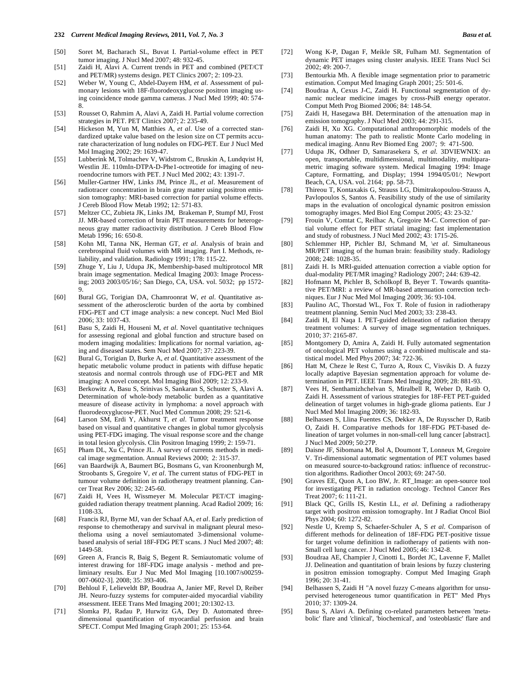- [50] Soret M, Bacharach SL, Buvat I. Partial-volume effect in PET tumor imaging. J Nucl Med 2007; 48: 932-45.
- [51] Zaidi H, Alavi A. Current trends in PET and combined (PET/CT and PET/MR) systems design. PET Clinics 2007; 2: 109-23.
- [52] Weber W, Young C, Abdel-Dayem HM, *et al*. Assessment of pulmonary lesions with 18F-fluorodeoxyglucose positron imaging using coincidence mode gamma cameras. J Nucl Med 1999; 40: 574- 8.
- [53] Rousset O, Rahmim A, Alavi A, Zaidi H. Partial volume correction strategies in PET. PET Clinics 2007; 2: 235-49.
- [54] Hickeson M, Yun M, Matthies A, *et al*. Use of a corrected standardized uptake value based on the lesion size on CT permits accurate characterization of lung nodules on FDG-PET. Eur J Nucl Med Mol Imaging 2002; 29: 1639-47.
- [55] Lubberink M, Tolmachev V, Widstrom C, Bruskin A, Lundqvist H, Westlin JE. 110mIn-DTPA-D-Phe1-octreotide for imaging of neuroendocrine tumors with PET. J Nucl Med 2002; 43: 1391-7.
- [56] Muller-Gartner HW, Links JM, Prince JL, *et al*. Measurement of radiotracer concentration in brain gray matter using positron emission tomography: MRI-based correction for partial volume effects. J Cereb Blood Flow Metab 1992; 12: 571-83.
- [57] Meltzer CC, Zubieta JK, Links JM, Brakeman P, Stumpf MJ, Frost JJ. MR-based correction of brain PET measurements for heterogeneous gray matter radioactivity distribution. J Cereb Blood Flow Metab 1996; 16: 650-8.
- [58] Kohn MI, Tanna NK, Herman GT, *et al*. Analysis of brain and cerebrospinal fluid volumes with MR imaging. Part I. Methods, reliability, and validation. Radiology 1991; 178: 115-22.
- [59] Zhuge Y, Liu J, Udupa JK, Membership-based multiprotocol MR brain image segmentation. Medical Imaging 2003: Image Processing; 2003 2003/05/16/; San Diego, CA, USA. vol. 5032; pp 1572- 9.
- [60] Bural GG, Torigian DA, Chamroonrat W, *et al*. Quantitative assessment of the atherosclerotic burden of the aorta by combined FDG-PET and CT image analysis: a new concept. Nucl Med Biol 2006; 33: 1037-43.
- [61] Basu S, Zaidi H, Houseni M, *et al*. Novel quantitative techniques for assessing regional and global function and structure based on modern imaging modalities: Implications for normal variation, aging and diseased states. Sem Nucl Med 2007; 37: 223-39.
- [62] Bural G, Torigian D, Burke A, *et al*. Quantitative assessment of the hepatic metabolic volume product in patients with diffuse hepatic steatosis and normal controls through use of FDG-PET and MR imaging: A novel concept. Mol Imaging Biol 2009; 12: 233-9.
- [63] Berkowitz A, Basu S, Srinivas S, Sankaran S, Schuster S, Alavi A. Determination of whole-body metabolic burden as a quantitative measure of disease activity in lymphoma: a novel approach with fluorodeoxyglucose-PET. Nucl Med Commun 2008; 29: 521-6.
- [64] Larson SM, Erdi Y, Akhurst T, *et al*. Tumor treatment response based on visual and quantitative changes in global tumor glycolysis using PET-FDG imaging. The visual response score and the change in total lesion glycolysis. Clin Positron Imaging 1999; 2: 159-71.
- [65] Pham DL, Xu C, Prince JL. A survey of currents methods in medical image segmentation. Annual Reviews 2000; 2: 315-37.
- [66] van Baardwijk A, Baumert BG, Bosmans G, van Kroonenburgh M, Stroobants S, Gregoire V, *et al*. The current status of FDG-PET in tumour volume definition in radiotherapy treatment planning. Cancer Treat Rev 2006; 32: 245-60.
- [67] Zaidi H, Vees H, Wissmeyer M. Molecular PET/CT imagingguided radiation therapy treatment planning. Acad Radiol 2009; 16: 1108-33**.**
- [68] Francis RJ, Byrne MJ, van der Schaaf AA, *et al*. Early prediction of response to chemotherapy and survival in malignant pleural mesothelioma using a novel semiautomated 3-dimensional volumebased analysis of serial 18F-FDG PET scans. J Nucl Med 2007; 48: 1449-58.
- [69] Green A, Francis R, Baig S, Begent R. Semiautomatic volume of interest drawing for 18F-FDG image analysis - method and preliminary results. Eur J Nuc Med Mol Imaging [10.1007/s00259- 007-0602-3]. 2008; 35: 393-406.
- [70] Behloul F, Lelieveldt BP, Boudraa A, Janier MF, Revel D, Reiber JH. Neuro-fuzzy systems for computer-aided myocardial viability assessment. IEEE Trans Med Imaging 2001; 20:1302-13.
- [71] Slomka PJ, Radau P, Hurwitz GA, Dey D. Automated threedimensional quantification of myocardial perfusion and brain SPECT. Comput Med Imaging Graph 2001; 25: 153-64.
- [72] Wong K-P, Dagan F, Meikle SR, Fulham MJ. Segmentation of dynamic PET images using cluster analysis. IEEE Trans Nucl Sci 2002; 49: 200-7.
- [73] Bentourkia Mh. A flexible image segmentation prior to parametric estimation. Comput Med Imaging Graph 2001; 25: 501-6.
- [74] Boudraa A, Cexus J-C, Zaidi H. Functional segmentation of dynamic nuclear medicine images by cross-PsiB energy operator. Comput Meth Prog Biomed 2006; 84: 148-54.
- [75] Zaidi H, Hasegawa BH. Determination of the attenuation map in emission tomography. J Nucl Med 2003; 44: 291-315.
- [76] Zaidi H, Xu XG. Computational anthropomorphic models of the human anatomy: The path to realistic Monte Carlo modeling in medical imaging. Annu Rev Biomed Eng 2007; 9: 471-500.
- [77] Udupa JK, Odhner D, Samarasekera S, *et al*. 3DVIEWNIX: an open, transportable, multidimensional, multimodality, multiparametric imaging software system. Medical Imaging 1994: Image Capture, Formatting, and Display; 1994 1994/05/01/; Newport Beach, CA, USA. vol. 2164; pp. 58-73.
- [78] Thireou T, Kontaxakis G, Strauss LG, Dimitrakopoulou-Strauss A, Pavlopoulos S, Santos A. Feasibility study of the use of similarity maps in the evaluation of oncological dynamic positron emission tomography images. Med Biol Eng Comput 2005; 43: 23-32.'
- [79] Frouin V, Comtat C, Reilhac A, Gregoire M-C. Correction of partial volume effect for PET striatal imaging: fast implementation and study of robustness. J Nucl Med 2002; 43: 1715-26.
- [80] Schlemmer HP, Pichler BJ, Schmand M, \*et al*. Simultaneous MR/PET imaging of the human brain: feasibility study. Radiology 2008; 248: 1028-35.
- [81] Zaidi H. Is MRI-guided attenuation correction a viable option for dual-modality PET/MR imaging? Radiology 2007; 244: 639-42.
- [82] Hofmann M, Pichler B, Schölkopf B, Beyer T. Towards quantitative PET/MRI: a review of MR-based attenuation correction techniques. Eur J Nuc Med Mol Imaging 2009; 36: 93-104.
- [83] Paulino AC, Thorstad WL, Fox T. Role of fusion in radiotherapy treatment planning. Semin Nucl Med 2003; 33: 238-43.
- [84] Zaidi H, El Naqa I. PET-guided delineation of radiation therapy treatment volumes: A survey of image segmentation techniques. 2010; 37: 2165-87.
- [85] Montgomery D, Amira A, Zaidi H. Fully automated segmentation of oncological PET volumes using a combined multiscale and statistical model. Med Phys 2007; 34: 722-36.
- [86] Hatt M, Cheze le Rest C, Turzo A, Roux C, Visvikis D. A fuzzy locally adaptive Bayesian segmentation approach for volume determination in PET. IEEE Trans Med Imaging 2009; 28: 881-93.
- [87] Vees H, Senthamizhchelvan S, Miralbell R, Weber D, Ratib O, Zaidi H. Assessment of various strategies for 18F-FET PET-guided delineation of target volumes in high-grade glioma patients. Eur J Nucl Med Mol Imaging 2009; 36: 182-93.
- [88] Belhassen S, Llina Fuentes CS, Dekker A, De Ruysscher D, Ratib O, Zaidi H. Comparative methods for 18F-FDG PET-based delineation of target volumes in non-small-cell lung cancer [abstract]. J Nucl Med 2009; 50:27P.
- [89] Daisne JF, Sibomana M, Bol A, Doumont T, Lonneux M, Gregoire V. Tri-dimensional automatic segmentation of PET volumes based on measured source-to-background ratios: influence of reconstruction algorithms. Radiother Oncol 2003; 69: 247-50.
- [90] Graves EE, Quon A, Loo BW, Jr. RT\_Image: an open-source tool for investigating PET in radiation oncology. Technol Cancer Res Treat 2007; 6: 111-21.
- [91] Black QC, Grills IS, Kestin LL, *et al*. Defining a radiotherapy target with positron emission tomography. Int J Radiat Oncol Biol Phys 2004; 60: 1272-82.
- [92] Nestle U, Kremp S, Schaefer-Schuler A, S *et al*. Comparison of different methods for delineation of 18F-FDG PET-positive tissue for target volume definition in radiotherapy of patients with non-Small cell lung cancer. J Nucl Med 2005; 46: 1342-8.
- [93] Boudraa AE, Champier J, Cinotti L, Bordet JC, Lavenne F, Mallet JJ. Delineation and quantitation of brain lesions by fuzzy clustering in positron emission tomography. Comput Med Imaging Graph 1996; 20: 31-41.
- [94] Belhassen S, Zaidi H "A novel fuzzy C-means algorithm for unsupervised heterogeneous tumor quantification in PET" Med Phys 2010; 37: 1309-24.
- [95] Basu S, Alavi A. Defining co-related parameters between 'metabolic' flare and 'clinical', 'biochemical', and 'osteoblastic' flare and